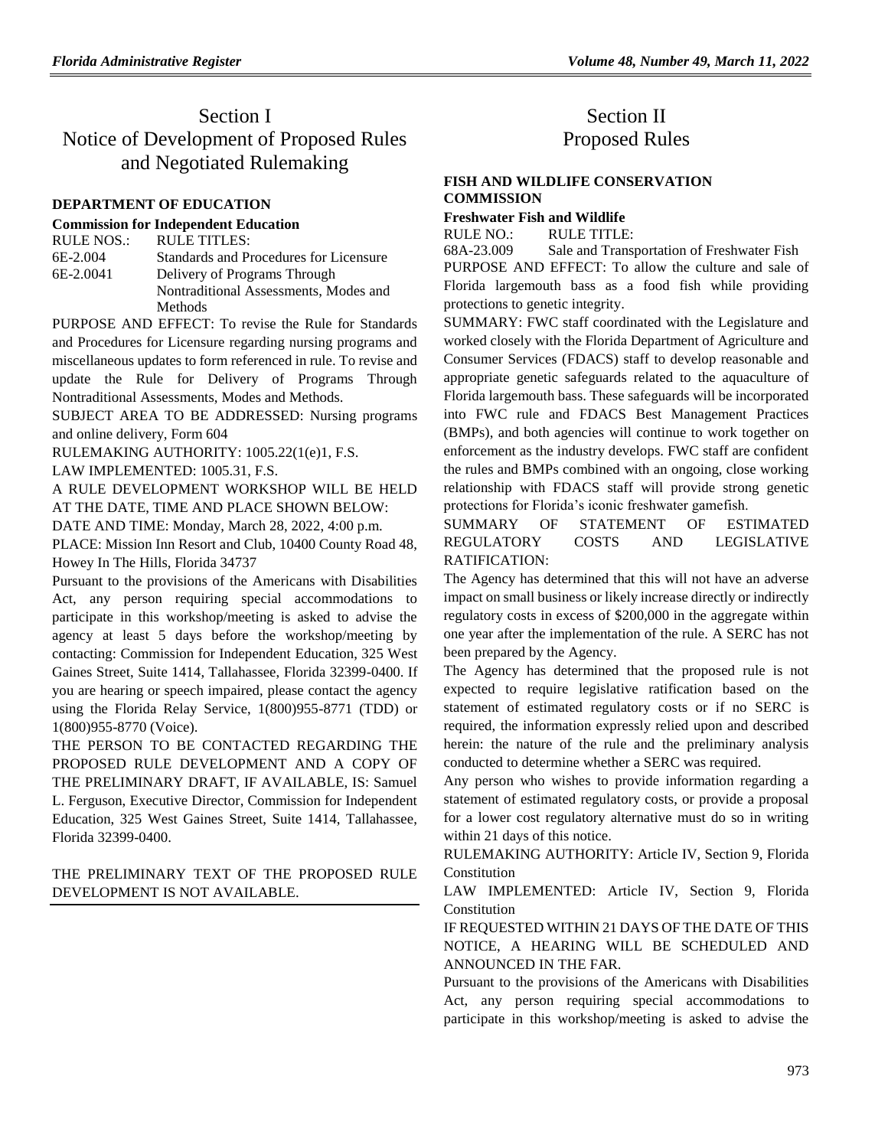# Section I Notice of Development of Proposed Rules and Negotiated Rulemaking

#### **[DEPARTMENT OF EDUCATION](https://www.flrules.org/gateway/department.asp?id=6)**

#### **[Commission for Independent Education](https://www.flrules.org/gateway/organization.asp?id=209)**

| <b>RULE NOS.:</b> | RULE TITLES:                           |
|-------------------|----------------------------------------|
| 6E-2.004          | Standards and Procedures for Licensure |
| 6E-2.0041         | Delivery of Programs Through           |
|                   | Nontraditional Assessments, Modes and  |
|                   | Methods                                |

PURPOSE AND EFFECT: To revise the Rule for Standards and Procedures for Licensure regarding nursing programs and miscellaneous updates to form referenced in rule. To revise and update the Rule for Delivery of Programs Through Nontraditional Assessments, Modes and Methods.

SUBJECT AREA TO BE ADDRESSED: Nursing programs and online delivery, Form 604

RULEMAKING AUTHORITY: [1005.22\(1\(e\)1,](https://www.flrules.org/gateway/statute.asp?id=1005.22(1(e)1) F.S.

LAW IMPLEMENTED: [1005.31,](https://www.flrules.org/gateway/statute.asp?id=1005.31) F.S.

A RULE DEVELOPMENT WORKSHOP WILL BE HELD AT THE DATE, TIME AND PLACE SHOWN BELOW:

DATE AND TIME: Monday, March 28, 2022, 4:00 p.m.

PLACE: Mission Inn Resort and Club, 10400 County Road 48, Howey In The Hills, Florida 34737

Pursuant to the provisions of the Americans with Disabilities Act, any person requiring special accommodations to participate in this workshop/meeting is asked to advise the agency at least 5 days before the workshop/meeting by contacting: Commission for Independent Education, 325 West Gaines Street, Suite 1414, Tallahassee, Florida 32399-0400. If you are hearing or speech impaired, please contact the agency using the Florida Relay Service, 1(800)955-8771 (TDD) or 1(800)955-8770 (Voice).

THE PERSON TO BE CONTACTED REGARDING THE PROPOSED RULE DEVELOPMENT AND A COPY OF THE PRELIMINARY DRAFT, IF AVAILABLE, IS: Samuel L. Ferguson, Executive Director, Commission for Independent Education, 325 West Gaines Street, Suite 1414, Tallahassee, Florida 32399-0400.

### THE PRELIMINARY TEXT OF THE PROPOSED RULE DEVELOPMENT IS NOT AVAILABLE.

## Section II Proposed Rules

### **[FISH AND WILDLIFE CONSERVATION](https://www.flrules.org/gateway/department.asp?id=68)  [COMMISSION](https://www.flrules.org/gateway/department.asp?id=68)**

**[Freshwater Fish and Wildlife](https://www.flrules.org/gateway/organization.asp?id=347)**

RULE NO.: RULE TITLE:

[68A-23.009](https://www.flrules.org/gateway/ruleNo.asp?id=68A-23.009) Sale and Transportation of Freshwater Fish PURPOSE AND EFFECT: To allow the culture and sale of Florida largemouth bass as a food fish while providing protections to genetic integrity.

SUMMARY: FWC staff coordinated with the Legislature and worked closely with the Florida Department of Agriculture and Consumer Services (FDACS) staff to develop reasonable and appropriate genetic safeguards related to the aquaculture of Florida largemouth bass. These safeguards will be incorporated into FWC rule and FDACS Best Management Practices (BMPs), and both agencies will continue to work together on enforcement as the industry develops. FWC staff are confident the rules and BMPs combined with an ongoing, close working relationship with FDACS staff will provide strong genetic protections for Florida's iconic freshwater gamefish.

SUMMARY OF STATEMENT OF ESTIMATED REGULATORY COSTS AND LEGISLATIVE RATIFICATION:

The Agency has determined that this will not have an adverse impact on small business or likely increase directly or indirectly regulatory costs in excess of \$200,000 in the aggregate within one year after the implementation of the rule. A SERC has not been prepared by the Agency.

The Agency has determined that the proposed rule is not expected to require legislative ratification based on the statement of estimated regulatory costs or if no SERC is required, the information expressly relied upon and described herein: the nature of the rule and the preliminary analysis conducted to determine whether a SERC was required.

Any person who wishes to provide information regarding a statement of estimated regulatory costs, or provide a proposal for a lower cost regulatory alternative must do so in writing within 21 days of this notice.

RULEMAKING AUTHORITY: [Article IV, Section 9, Florida](https://www.flrules.org/gateway/flconstitution.asp?id=Article%20IV,%20Section%209,%20Florida%20Constitution)  **[Constitution](https://www.flrules.org/gateway/flconstitution.asp?id=Article%20IV,%20Section%209,%20Florida%20Constitution)** 

LAW IMPLEMENTED: [Article IV, Section 9, Florida](https://www.flrules.org/gateway/flconstitution.asp?id=Article%20IV,%20Section%209,%20Florida%20Constitution)  [Constitution](https://www.flrules.org/gateway/flconstitution.asp?id=Article%20IV,%20Section%209,%20Florida%20Constitution)

IF REQUESTED WITHIN 21 DAYS OF THE DATE OF THIS NOTICE, A HEARING WILL BE SCHEDULED AND ANNOUNCED IN THE FAR.

Pursuant to the provisions of the Americans with Disabilities Act, any person requiring special accommodations to participate in this workshop/meeting is asked to advise the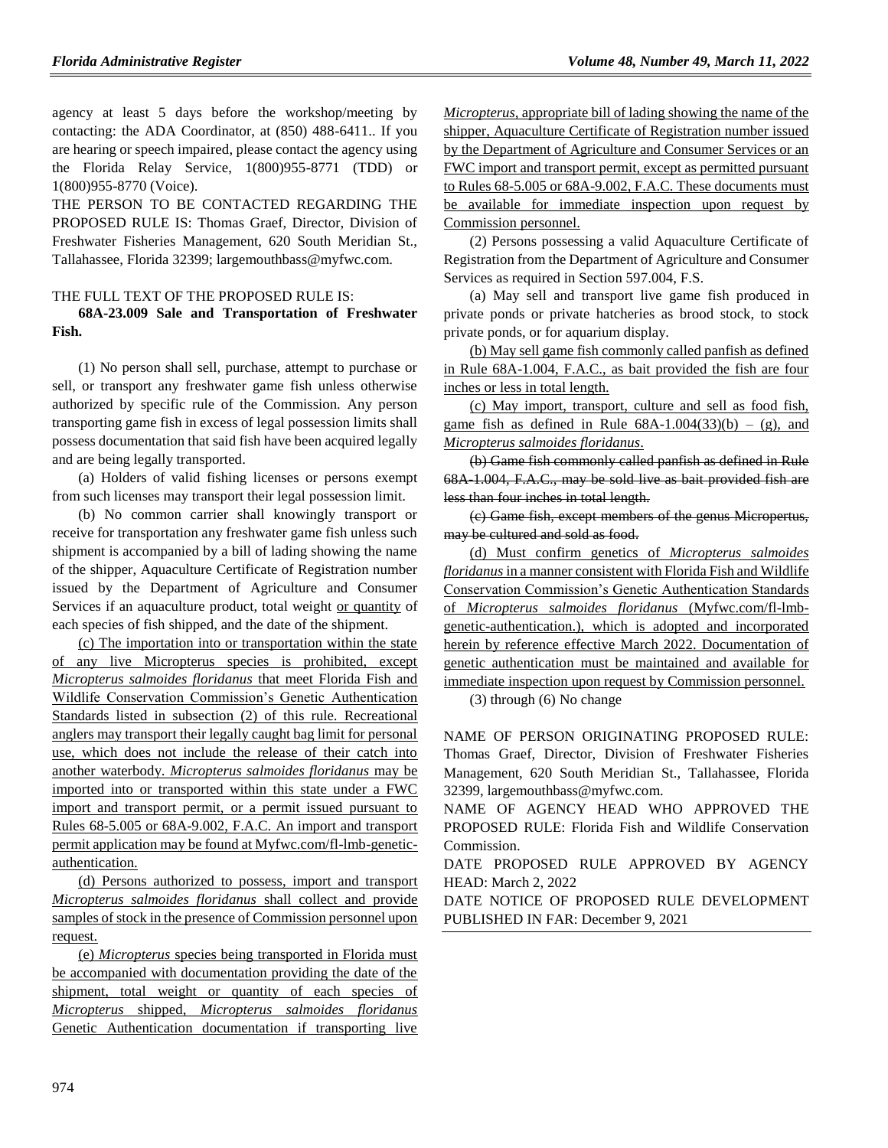agency at least 5 days before the workshop/meeting by contacting: the ADA Coordinator, at (850) 488-6411.. If you are hearing or speech impaired, please contact the agency using the Florida Relay Service, 1(800)955-8771 (TDD) or 1(800)955-8770 (Voice).

THE PERSON TO BE CONTACTED REGARDING THE PROPOSED RULE IS: Thomas Graef, Director, Division of Freshwater Fisheries Management, 620 South Meridian St., Tallahassee, Florida 32399; largemouthbass@myfwc.com.

#### THE FULL TEXT OF THE PROPOSED RULE IS: **68A-23.009 Sale and Transportation of Freshwater**

**Fish.**

(1) No person shall sell, purchase, attempt to purchase or sell, or transport any freshwater game fish unless otherwise authorized by specific rule of the Commission. Any person transporting game fish in excess of legal possession limits shall possess documentation that said fish have been acquired legally and are being legally transported.

(a) Holders of valid fishing licenses or persons exempt from such licenses may transport their legal possession limit.

(b) No common carrier shall knowingly transport or receive for transportation any freshwater game fish unless such shipment is accompanied by a bill of lading showing the name of the shipper, Aquaculture Certificate of Registration number issued by the Department of Agriculture and Consumer Services if an aquaculture product, total weight or quantity of each species of fish shipped, and the date of the shipment.

(c) The importation into or transportation within the state of any live Micropterus species is prohibited, except *Micropterus salmoides floridanus* that meet Florida Fish and Wildlife Conservation Commission's Genetic Authentication Standards listed in subsection (2) of this rule. Recreational anglers may transport their legally caught bag limit for personal use, which does not include the release of their catch into another waterbody. *Micropterus salmoides floridanus* may be imported into or transported within this state under a FWC import and transport permit, or a permit issued pursuant to Rules 68-5.005 or 68A-9.002, F.A.C. An import and transport permit application may be found at Myfwc.com/fl-lmb-geneticauthentication.

(d) Persons authorized to possess, import and transport *Micropterus salmoides floridanus* shall collect and provide samples of stock in the presence of Commission personnel upon request.

(e) *Micropterus* species being transported in Florida must be accompanied with documentation providing the date of the shipment, total weight or quantity of each species of *Micropterus* shipped, *Micropterus salmoides floridanus* Genetic Authentication documentation if transporting live *Micropterus,* appropriate bill of lading showing the name of the shipper, Aquaculture Certificate of Registration number issued by the Department of Agriculture and Consumer Services or an FWC import and transport permit, except as permitted pursuant to Rules 68-5.005 or 68A-9.002, F.A.C. These documents must be available for immediate inspection upon request by Commission personnel.

(2) Persons possessing a valid Aquaculture Certificate of Registration from the Department of Agriculture and Consumer Services as required in Section 597.004, F.S.

(a) May sell and transport live game fish produced in private ponds or private hatcheries as brood stock, to stock private ponds, or for aquarium display.

(b) May sell game fish commonly called panfish as defined in Rule 68A-1.004, F.A.C., as bait provided the fish are four inches or less in total length.

(c) May import, transport, culture and sell as food fish, game fish as defined in Rule  $68A-1.004(33)(b) - (g)$ , and *Micropterus salmoides floridanus*.

(b) Game fish commonly called panfish as defined in Rule 68A-1.004, F.A.C., may be sold live as bait provided fish are less than four inches in total length.

(c) Game fish, except members of the genus Micropertus, may be cultured and sold as food.

(d) Must confirm genetics of *Micropterus salmoides floridanus* in a manner consistent with Florida Fish and Wildlife Conservation Commission's Genetic Authentication Standards of *Micropterus salmoides floridanus* (Myfwc.com/fl-lmbgenetic-authentication.), which is adopted and incorporated herein by reference effective March 2022. Documentation of genetic authentication must be maintained and available for immediate inspection upon request by Commission personnel.

(3) through (6) No change

NAME OF PERSON ORIGINATING PROPOSED RULE: Thomas Graef, Director, Division of Freshwater Fisheries Management, 620 South Meridian St., Tallahassee, Florida 32399, largemouthbass@myfwc.com.

NAME OF AGENCY HEAD WHO APPROVED THE PROPOSED RULE: Florida Fish and Wildlife Conservation Commission.

DATE PROPOSED RULE APPROVED BY AGENCY HEAD: March 2, 2022

DATE NOTICE OF PROPOSED RULE DEVELOPMENT PUBLISHED IN FAR: December 9, 2021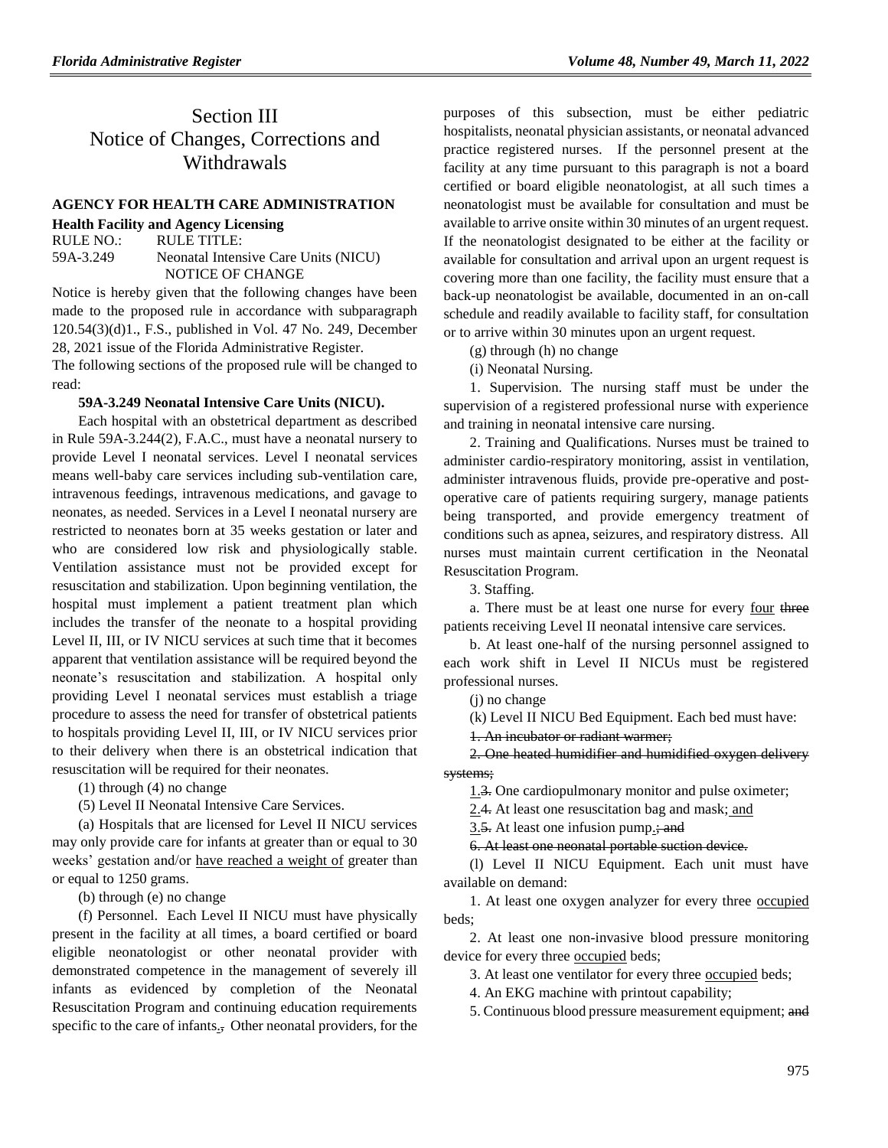## Section III Notice of Changes, Corrections and Withdrawals

#### **[AGENCY FOR HEALTH CARE ADMINISTRATION](https://www.flrules.org/gateway/department.asp?id=59)**

**[Health Facility and Agency Licensing](https://www.flrules.org/gateway/organization.asp?id=186)**

RULE NO.: RULE TITLE: [59A-3.249](https://www.flrules.org/gateway/ruleNo.asp?id=59A-3.249) Neonatal Intensive Care Units (NICU) NOTICE OF CHANGE

Notice is hereby given that the following changes have been made to the proposed rule in accordance with subparagraph 120.54(3)(d)1., F.S., published in Vol. 47 No. 249, December 28, 2021 issue of the Florida Administrative Register.

The following sections of the proposed rule will be changed to read:

#### **59A-3.249 Neonatal Intensive Care Units (NICU).**

Each hospital with an obstetrical department as described in Rule 59A-3.244(2), F.A.C., must have a neonatal nursery to provide Level I neonatal services. Level I neonatal services means well-baby care services including sub-ventilation care, intravenous feedings, intravenous medications, and gavage to neonates, as needed. Services in a Level I neonatal nursery are restricted to neonates born at 35 weeks gestation or later and who are considered low risk and physiologically stable. Ventilation assistance must not be provided except for resuscitation and stabilization. Upon beginning ventilation, the hospital must implement a patient treatment plan which includes the transfer of the neonate to a hospital providing Level II, III, or IV NICU services at such time that it becomes apparent that ventilation assistance will be required beyond the neonate's resuscitation and stabilization. A hospital only providing Level I neonatal services must establish a triage procedure to assess the need for transfer of obstetrical patients to hospitals providing Level II, III, or IV NICU services prior to their delivery when there is an obstetrical indication that resuscitation will be required for their neonates.

(1) through (4) no change

(5) Level II Neonatal Intensive Care Services.

(a) Hospitals that are licensed for Level II NICU services may only provide care for infants at greater than or equal to 30 weeks' gestation and/or have reached a weight of greater than or equal to 1250 grams.

(b) through (e) no change

(f) Personnel. Each Level II NICU must have physically present in the facility at all times, a board certified or board eligible neonatologist or other neonatal provider with demonstrated competence in the management of severely ill infants as evidenced by completion of the Neonatal Resuscitation Program and continuing education requirements specific to the care of infants., Other neonatal providers, for the

purposes of this subsection, must be either pediatric hospitalists, neonatal physician assistants, or neonatal advanced practice registered nurses. If the personnel present at the facility at any time pursuant to this paragraph is not a board certified or board eligible neonatologist, at all such times a neonatologist must be available for consultation and must be available to arrive onsite within 30 minutes of an urgent request. If the neonatologist designated to be either at the facility or available for consultation and arrival upon an urgent request is covering more than one facility, the facility must ensure that a back-up neonatologist be available, documented in an on-call schedule and readily available to facility staff, for consultation or to arrive within 30 minutes upon an urgent request.

(g) through (h) no change

(i) Neonatal Nursing.

1. Supervision. The nursing staff must be under the supervision of a registered professional nurse with experience and training in neonatal intensive care nursing.

2. Training and Qualifications. Nurses must be trained to administer cardio-respiratory monitoring, assist in ventilation, administer intravenous fluids, provide pre-operative and postoperative care of patients requiring surgery, manage patients being transported, and provide emergency treatment of conditions such as apnea, seizures, and respiratory distress. All nurses must maintain current certification in the Neonatal Resuscitation Program.

3. Staffing.

a. There must be at least one nurse for every four three patients receiving Level II neonatal intensive care services.

b. At least one-half of the nursing personnel assigned to each work shift in Level II NICUs must be registered professional nurses.

(j) no change

(k) Level II NICU Bed Equipment. Each bed must have:

1. An incubator or radiant warmer;

2. One heated humidifier and humidified oxygen delivery systems;

1.3. One cardiopulmonary monitor and pulse oximeter;

2.4. At least one resuscitation bag and mask; and

 $3.5$ . At least one infusion pump.; and

6. At least one neonatal portable suction device.

(l) Level II NICU Equipment. Each unit must have available on demand:

1. At least one oxygen analyzer for every three occupied beds;

2. At least one non-invasive blood pressure monitoring device for every three occupied beds;

3. At least one ventilator for every three occupied beds;

4. An EKG machine with printout capability;

5. Continuous blood pressure measurement equipment; and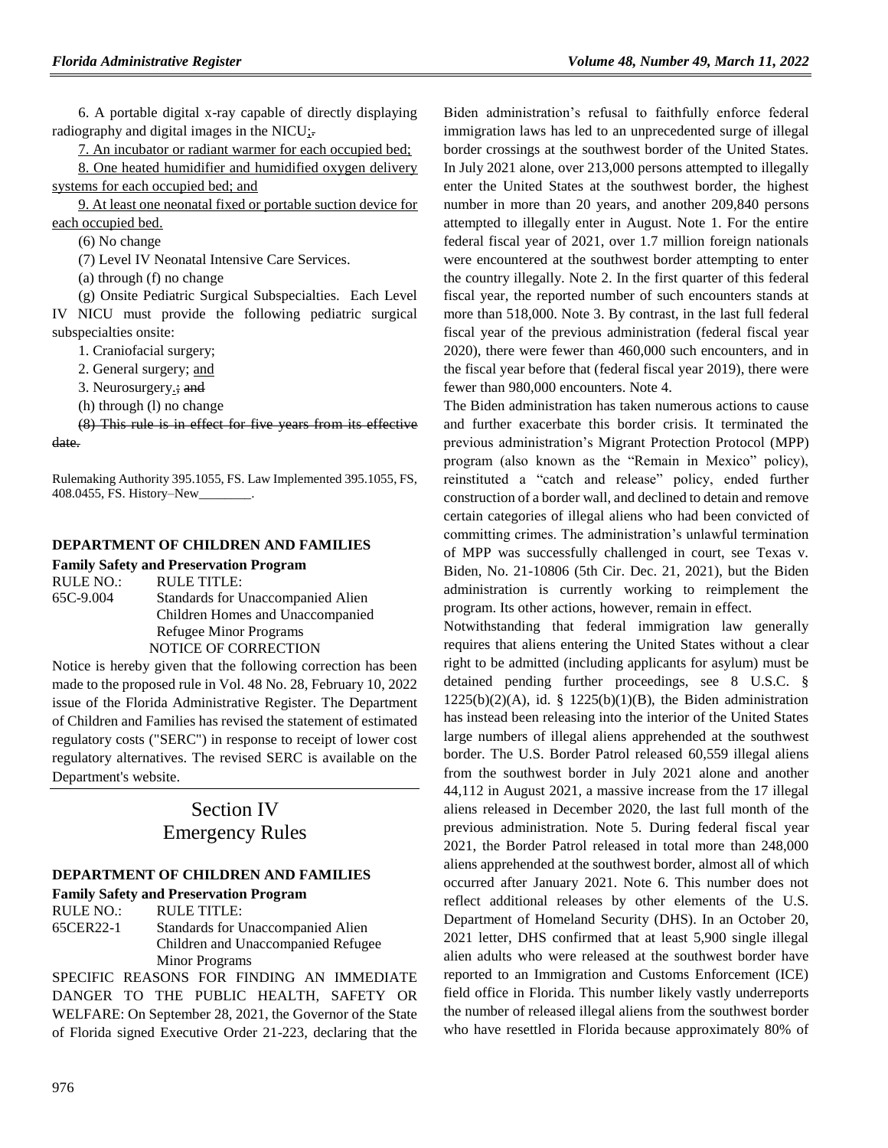6. A portable digital x-ray capable of directly displaying radiography and digital images in the NICU;.

7. An incubator or radiant warmer for each occupied bed;

8. One heated humidifier and humidified oxygen delivery systems for each occupied bed; and

9. At least one neonatal fixed or portable suction device for each occupied bed.

(6) No change

(7) Level IV Neonatal Intensive Care Services.

(a) through (f) no change

(g) Onsite Pediatric Surgical Subspecialties. Each Level IV NICU must provide the following pediatric surgical subspecialties onsite:

1. Craniofacial surgery;

2. General surgery; and

3. Neurosurgery.; and

(h) through (l) no change

(8) This rule is in effect for five years from its effective date.

Rulemaking Authority 395.1055, FS. Law Implemented 395.1055, FS, 408.0455, FS. History–New\_\_\_\_\_\_\_\_.

#### **[DEPARTMENT OF CHILDREN AND FAMILIES](https://www.flrules.org/gateway/department.asp?id=65)**

**[Family Safety and Preservation Program](https://www.flrules.org/gateway/organization.asp?id=342)**

RULE NO.: RULE TITLE: [65C-9.004](https://www.flrules.org/gateway/ruleNo.asp?id=65C-9.004) Standards for Unaccompanied Alien Children Homes and Unaccompanied Refugee Minor Programs NOTICE OF CORRECTION

Notice is hereby given that the following correction has been made to the proposed rule in Vol. 48 No. 28, February 10, 2022 issue of the Florida Administrative Register. The Department of Children and Families has revised the statement of estimated regulatory costs ("SERC") in response to receipt of lower cost regulatory alternatives. The revised SERC is available on the Department's website.

# Section IV Emergency Rules

#### **[DEPARTMENT OF CHILDREN AND FAMILIES](https://www.flrules.org/gateway/department.asp?id=65)**

**[Family Safety and Preservation Program](https://www.flrules.org/gateway/organization.asp?id=342)**

RULE NO.: RULE TITLE: [65CER22-1](https://www.flrules.org/gateway/ruleNo.asp?id=65CER22-1) Standards for Unaccompanied Alien Children and Unaccompanied Refugee Minor Programs

SPECIFIC REASONS FOR FINDING AN IMMEDIATE DANGER TO THE PUBLIC HEALTH, SAFETY OR WELFARE: On September 28, 2021, the Governor of the State of Florida signed Executive Order 21-223, declaring that the

Biden administration's refusal to faithfully enforce federal immigration laws has led to an unprecedented surge of illegal border crossings at the southwest border of the United States. In July 2021 alone, over 213,000 persons attempted to illegally enter the United States at the southwest border, the highest number in more than 20 years, and another 209,840 persons attempted to illegally enter in August. Note 1. For the entire federal fiscal year of 2021, over 1.7 million foreign nationals were encountered at the southwest border attempting to enter the country illegally. Note 2. In the first quarter of this federal fiscal year, the reported number of such encounters stands at more than 518,000. Note 3. By contrast, in the last full federal fiscal year of the previous administration (federal fiscal year 2020), there were fewer than 460,000 such encounters, and in the fiscal year before that (federal fiscal year 2019), there were fewer than 980,000 encounters. Note 4.

The Biden administration has taken numerous actions to cause and further exacerbate this border crisis. It terminated the previous administration's Migrant Protection Protocol (MPP) program (also known as the "Remain in Mexico" policy), reinstituted a "catch and release" policy, ended further construction of a border wall, and declined to detain and remove certain categories of illegal aliens who had been convicted of committing crimes. The administration's unlawful termination of MPP was successfully challenged in court, see Texas v. Biden, No. 21-10806 (5th Cir. Dec. 21, 2021), but the Biden administration is currently working to reimplement the program. Its other actions, however, remain in effect.

Notwithstanding that federal immigration law generally requires that aliens entering the United States without a clear right to be admitted (including applicants for asylum) must be detained pending further proceedings, see 8 U.S.C. §  $1225(b)(2)(A)$ , id. §  $1225(b)(1)(B)$ , the Biden administration has instead been releasing into the interior of the United States large numbers of illegal aliens apprehended at the southwest border. The U.S. Border Patrol released 60,559 illegal aliens from the southwest border in July 2021 alone and another 44,112 in August 2021, a massive increase from the 17 illegal aliens released in December 2020, the last full month of the previous administration. Note 5. During federal fiscal year 2021, the Border Patrol released in total more than 248,000 aliens apprehended at the southwest border, almost all of which occurred after January 2021. Note 6. This number does not reflect additional releases by other elements of the U.S. Department of Homeland Security (DHS). In an October 20, 2021 letter, DHS confirmed that at least 5,900 single illegal alien adults who were released at the southwest border have reported to an Immigration and Customs Enforcement (ICE) field office in Florida. This number likely vastly underreports the number of released illegal aliens from the southwest border who have resettled in Florida because approximately 80% of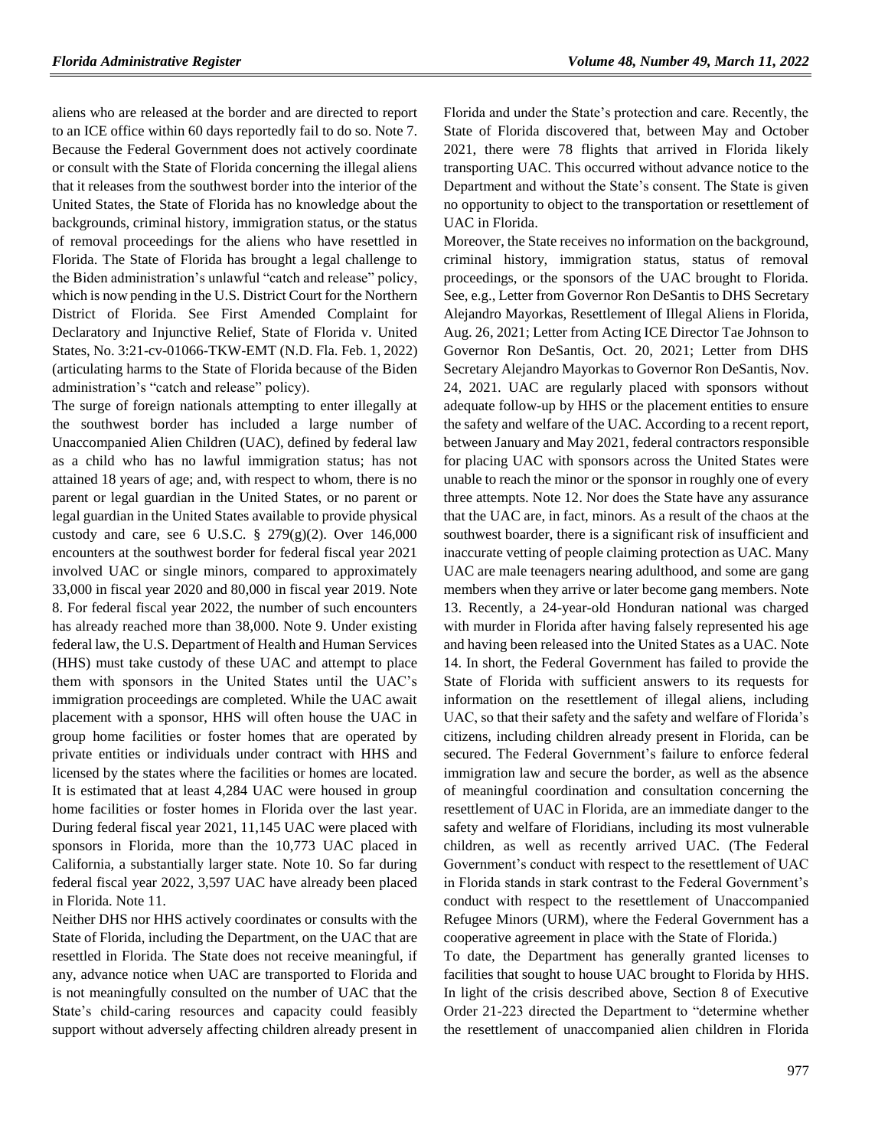aliens who are released at the border and are directed to report to an ICE office within 60 days reportedly fail to do so. Note 7. Because the Federal Government does not actively coordinate or consult with the State of Florida concerning the illegal aliens that it releases from the southwest border into the interior of the United States, the State of Florida has no knowledge about the backgrounds, criminal history, immigration status, or the status of removal proceedings for the aliens who have resettled in Florida. The State of Florida has brought a legal challenge to the Biden administration's unlawful "catch and release" policy, which is now pending in the U.S. District Court for the Northern District of Florida. See First Amended Complaint for Declaratory and Injunctive Relief, State of Florida v. United States, No. 3:21-cv-01066-TKW-EMT (N.D. Fla. Feb. 1, 2022) (articulating harms to the State of Florida because of the Biden administration's "catch and release" policy).

The surge of foreign nationals attempting to enter illegally at the southwest border has included a large number of Unaccompanied Alien Children (UAC), defined by federal law as a child who has no lawful immigration status; has not attained 18 years of age; and, with respect to whom, there is no parent or legal guardian in the United States, or no parent or legal guardian in the United States available to provide physical custody and care, see 6 U.S.C. § 279(g)(2). Over 146,000 encounters at the southwest border for federal fiscal year 2021 involved UAC or single minors, compared to approximately 33,000 in fiscal year 2020 and 80,000 in fiscal year 2019. Note 8. For federal fiscal year 2022, the number of such encounters has already reached more than 38,000. Note 9. Under existing federal law, the U.S. Department of Health and Human Services (HHS) must take custody of these UAC and attempt to place them with sponsors in the United States until the UAC's immigration proceedings are completed. While the UAC await placement with a sponsor, HHS will often house the UAC in group home facilities or foster homes that are operated by private entities or individuals under contract with HHS and licensed by the states where the facilities or homes are located. It is estimated that at least 4,284 UAC were housed in group home facilities or foster homes in Florida over the last year. During federal fiscal year 2021, 11,145 UAC were placed with sponsors in Florida, more than the 10,773 UAC placed in California, a substantially larger state. Note 10. So far during federal fiscal year 2022, 3,597 UAC have already been placed in Florida. Note 11.

Neither DHS nor HHS actively coordinates or consults with the State of Florida, including the Department, on the UAC that are resettled in Florida. The State does not receive meaningful, if any, advance notice when UAC are transported to Florida and is not meaningfully consulted on the number of UAC that the State's child-caring resources and capacity could feasibly support without adversely affecting children already present in

Florida and under the State's protection and care. Recently, the State of Florida discovered that, between May and October 2021, there were 78 flights that arrived in Florida likely transporting UAC. This occurred without advance notice to the Department and without the State's consent. The State is given no opportunity to object to the transportation or resettlement of UAC in Florida.

Moreover, the State receives no information on the background, criminal history, immigration status, status of removal proceedings, or the sponsors of the UAC brought to Florida. See, e.g., Letter from Governor Ron DeSantis to DHS Secretary Alejandro Mayorkas, Resettlement of Illegal Aliens in Florida, Aug. 26, 2021; Letter from Acting ICE Director Tae Johnson to Governor Ron DeSantis, Oct. 20, 2021; Letter from DHS Secretary Alejandro Mayorkas to Governor Ron DeSantis, Nov. 24, 2021. UAC are regularly placed with sponsors without adequate follow-up by HHS or the placement entities to ensure the safety and welfare of the UAC. According to a recent report, between January and May 2021, federal contractors responsible for placing UAC with sponsors across the United States were unable to reach the minor or the sponsor in roughly one of every three attempts. Note 12. Nor does the State have any assurance that the UAC are, in fact, minors. As a result of the chaos at the southwest boarder, there is a significant risk of insufficient and inaccurate vetting of people claiming protection as UAC. Many UAC are male teenagers nearing adulthood, and some are gang members when they arrive or later become gang members. Note 13. Recently, a 24-year-old Honduran national was charged with murder in Florida after having falsely represented his age and having been released into the United States as a UAC. Note 14. In short, the Federal Government has failed to provide the State of Florida with sufficient answers to its requests for information on the resettlement of illegal aliens, including UAC, so that their safety and the safety and welfare of Florida's citizens, including children already present in Florida, can be secured. The Federal Government's failure to enforce federal immigration law and secure the border, as well as the absence of meaningful coordination and consultation concerning the resettlement of UAC in Florida, are an immediate danger to the safety and welfare of Floridians, including its most vulnerable children, as well as recently arrived UAC. (The Federal Government's conduct with respect to the resettlement of UAC in Florida stands in stark contrast to the Federal Government's conduct with respect to the resettlement of Unaccompanied Refugee Minors (URM), where the Federal Government has a cooperative agreement in place with the State of Florida.)

To date, the Department has generally granted licenses to facilities that sought to house UAC brought to Florida by HHS. In light of the crisis described above, Section 8 of Executive Order 21-223 directed the Department to "determine whether the resettlement of unaccompanied alien children in Florida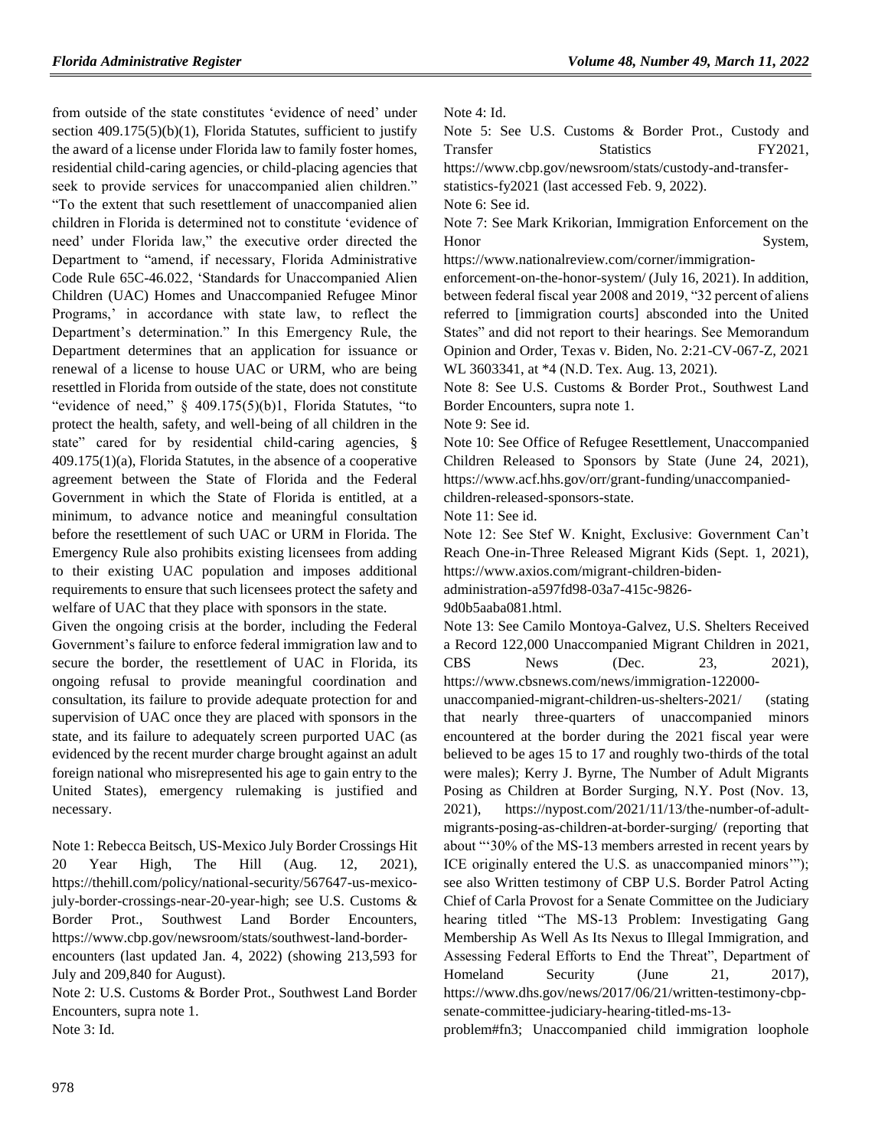from outside of the state constitutes 'evidence of need' under section  $409.175(5)(b)(1)$ , Florida Statutes, sufficient to justify the award of a license under Florida law to family foster homes, residential child-caring agencies, or child-placing agencies that seek to provide services for unaccompanied alien children." "To the extent that such resettlement of unaccompanied alien children in Florida is determined not to constitute 'evidence of need' under Florida law," the executive order directed the Department to "amend, if necessary, Florida Administrative Code Rule 65C-46.022, 'Standards for Unaccompanied Alien Children (UAC) Homes and Unaccompanied Refugee Minor Programs,' in accordance with state law, to reflect the Department's determination." In this Emergency Rule, the Department determines that an application for issuance or renewal of a license to house UAC or URM, who are being resettled in Florida from outside of the state, does not constitute "evidence of need," § 409.175(5)(b)1, Florida Statutes, "to protect the health, safety, and well-being of all children in the state" cared for by residential child-caring agencies, § 409.175(1)(a), Florida Statutes, in the absence of a cooperative agreement between the State of Florida and the Federal Government in which the State of Florida is entitled, at a minimum, to advance notice and meaningful consultation before the resettlement of such UAC or URM in Florida. The Emergency Rule also prohibits existing licensees from adding to their existing UAC population and imposes additional requirements to ensure that such licensees protect the safety and welfare of UAC that they place with sponsors in the state.

Given the ongoing crisis at the border, including the Federal Government's failure to enforce federal immigration law and to secure the border, the resettlement of UAC in Florida, its ongoing refusal to provide meaningful coordination and consultation, its failure to provide adequate protection for and supervision of UAC once they are placed with sponsors in the state, and its failure to adequately screen purported UAC (as evidenced by the recent murder charge brought against an adult foreign national who misrepresented his age to gain entry to the United States), emergency rulemaking is justified and necessary.

Note 1: Rebecca Beitsch, US-Mexico July Border Crossings Hit 20 Year High, The Hill (Aug. 12, 2021), https://thehill.com/policy/national-security/567647-us-mexicojuly-border-crossings-near-20-year-high; see U.S. Customs & Border Prot., Southwest Land Border Encounters, https://www.cbp.gov/newsroom/stats/southwest-land-borderencounters (last updated Jan. 4, 2022) (showing 213,593 for

July and 209,840 for August).

Note 2: U.S. Customs & Border Prot., Southwest Land Border Encounters, supra note 1. Note 3: Id.

Note 4: Id.

Note 5: See U.S. Customs & Border Prot., Custody and Transfer Statistics FY2021.

https://www.cbp.gov/newsroom/stats/custody-and-transfer-

statistics-fy2021 (last accessed Feb. 9, 2022).

Note 6: See id.

Note 7: See Mark Krikorian, Immigration Enforcement on the Honor System,

https://www.nationalreview.com/corner/immigrationenforcement-on-the-honor-system/ (July 16, 2021). In addition,

between federal fiscal year 2008 and 2019, "32 percent of aliens referred to [immigration courts] absconded into the United States" and did not report to their hearings. See Memorandum Opinion and Order, Texas v. Biden, No. 2:21-CV-067-Z, 2021 WL 3603341, at \*4 (N.D. Tex. Aug. 13, 2021).

Note 8: See U.S. Customs & Border Prot., Southwest Land Border Encounters, supra note 1.

Note 9: See id.

Note 10: See Office of Refugee Resettlement, Unaccompanied Children Released to Sponsors by State (June 24, 2021), https://www.acf.hhs.gov/orr/grant-funding/unaccompaniedchildren-released-sponsors-state.

Note 11: See id.

Note 12: See Stef W. Knight, Exclusive: Government Can't Reach One-in-Three Released Migrant Kids (Sept. 1, 2021), https://www.axios.com/migrant-children-biden-

administration-a597fd98-03a7-415c-9826-

9d0b5aaba081.html.

Note 13: See Camilo Montoya-Galvez, U.S. Shelters Received a Record 122,000 Unaccompanied Migrant Children in 2021, CBS News (Dec. 23, 2021), https://www.cbsnews.com/news/immigration-122000-

unaccompanied-migrant-children-us-shelters-2021/ (stating that nearly three-quarters of unaccompanied minors encountered at the border during the 2021 fiscal year were believed to be ages 15 to 17 and roughly two-thirds of the total were males); Kerry J. Byrne, The Number of Adult Migrants Posing as Children at Border Surging, N.Y. Post (Nov. 13, 2021), https://nypost.com/2021/11/13/the-number-of-adultmigrants-posing-as-children-at-border-surging/ (reporting that about "'30% of the MS-13 members arrested in recent years by ICE originally entered the U.S. as unaccompanied minors'"); see also Written testimony of CBP U.S. Border Patrol Acting Chief of Carla Provost for a Senate Committee on the Judiciary hearing titled "The MS-13 Problem: Investigating Gang Membership As Well As Its Nexus to Illegal Immigration, and Assessing Federal Efforts to End the Threat", Department of Homeland Security (June 21, 2017), https://www.dhs.gov/news/2017/06/21/written-testimony-cbpsenate-committee-judiciary-hearing-titled-ms-13-

problem#fn3; Unaccompanied child immigration loophole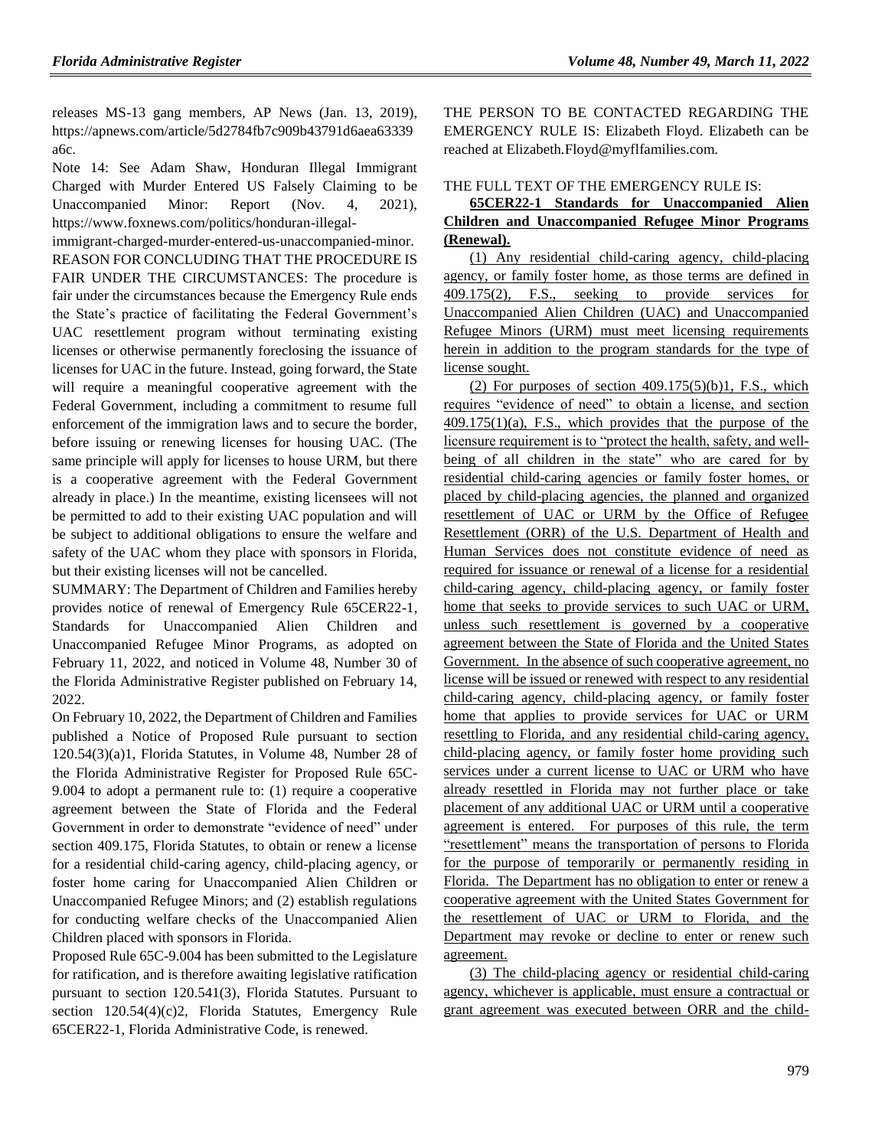releases MS-13 gang members, AP News (Jan. 13, 2019), https://apnews.com/article/5d2784fb7c909b43791d6aea63339 a6c.

Note 14: See Adam Shaw, Honduran Illegal Immigrant Charged with Murder Entered US Falsely Claiming to be Unaccompanied Minor: Report (Nov. 4, 2021), https://www.foxnews.com/politics/honduran-illegal-

immigrant-charged-murder-entered-us-unaccompanied-minor. REASON FOR CONCLUDING THAT THE PROCEDURE IS FAIR UNDER THE CIRCUMSTANCES: The procedure is fair under the circumstances because the Emergency Rule ends the State's practice of facilitating the Federal Government's UAC resettlement program without terminating existing licenses or otherwise permanently foreclosing the issuance of licenses for UAC in the future. Instead, going forward, the State will require a meaningful cooperative agreement with the Federal Government, including a commitment to resume full enforcement of the immigration laws and to secure the border, before issuing or renewing licenses for housing UAC. (The same principle will apply for licenses to house URM, but there is a cooperative agreement with the Federal Government already in place.) In the meantime, existing licensees will not be permitted to add to their existing UAC population and will be subject to additional obligations to ensure the welfare and safety of the UAC whom they place with sponsors in Florida, but their existing licenses will not be cancelled.

SUMMARY: The Department of Children and Families hereby provides notice of renewal of Emergency Rule 65CER22-1, Standards for Unaccompanied Alien Children and Unaccompanied Refugee Minor Programs, as adopted on February 11, 2022, and noticed in Volume 48, Number 30 of the Florida Administrative Register published on February 14, 2022.

On February 10, 2022, the Department of Children and Families published a Notice of Proposed Rule pursuant to section 120.54(3)(a)1, Florida Statutes, in Volume 48, Number 28 of the Florida Administrative Register for Proposed Rule 65C-9.004 to adopt a permanent rule to: (1) require a cooperative agreement between the State of Florida and the Federal Government in order to demonstrate "evidence of need" under section 409.175, Florida Statutes, to obtain or renew a license for a residential child-caring agency, child-placing agency, or foster home caring for Unaccompanied Alien Children or Unaccompanied Refugee Minors; and (2) establish regulations for conducting welfare checks of the Unaccompanied Alien Children placed with sponsors in Florida.

Proposed Rule 65C-9.004 has been submitted to the Legislature for ratification, and is therefore awaiting legislative ratification pursuant to section 120.541(3), Florida Statutes. Pursuant to section 120.54(4)(c)2, Florida Statutes, Emergency Rule 65CER22-1, Florida Administrative Code, is renewed.

THE PERSON TO BE CONTACTED REGARDING THE EMERGENCY RULE IS: Elizabeth Floyd. Elizabeth can be reached at Elizabeth.Floyd@myflfamilies.com.

### THE FULL TEXT OF THE EMERGENCY RULE IS:

### **65CER22-1 Standards for Unaccompanied Alien Children and Unaccompanied Refugee Minor Programs (Renewal).**

(1) Any residential child-caring agency, child-placing agency, or family foster home, as those terms are defined in 409.175(2), F.S., seeking to provide services for Unaccompanied Alien Children (UAC) and Unaccompanied Refugee Minors (URM) must meet licensing requirements herein in addition to the program standards for the type of license sought.

(2) For purposes of section  $409.175(5)(b)1$ , F.S., which requires "evidence of need" to obtain a license, and section 409.175(1)(a), F.S., which provides that the purpose of the licensure requirement is to "protect the health, safety, and wellbeing of all children in the state" who are cared for by residential child-caring agencies or family foster homes, or placed by child-placing agencies, the planned and organized resettlement of UAC or URM by the Office of Refugee Resettlement (ORR) of the U.S. Department of Health and Human Services does not constitute evidence of need as required for issuance or renewal of a license for a residential child-caring agency, child-placing agency, or family foster home that seeks to provide services to such UAC or URM, unless such resettlement is governed by a cooperative agreement between the State of Florida and the United States Government. In the absence of such cooperative agreement, no license will be issued or renewed with respect to any residential child-caring agency, child-placing agency, or family foster home that applies to provide services for UAC or URM resettling to Florida, and any residential child-caring agency, child-placing agency, or family foster home providing such services under a current license to UAC or URM who have already resettled in Florida may not further place or take placement of any additional UAC or URM until a cooperative agreement is entered. For purposes of this rule, the term "resettlement" means the transportation of persons to Florida for the purpose of temporarily or permanently residing in Florida. The Department has no obligation to enter or renew a cooperative agreement with the United States Government for the resettlement of UAC or URM to Florida, and the Department may revoke or decline to enter or renew such agreement.

(3) The child-placing agency or residential child-caring agency, whichever is applicable, must ensure a contractual or grant agreement was executed between ORR and the child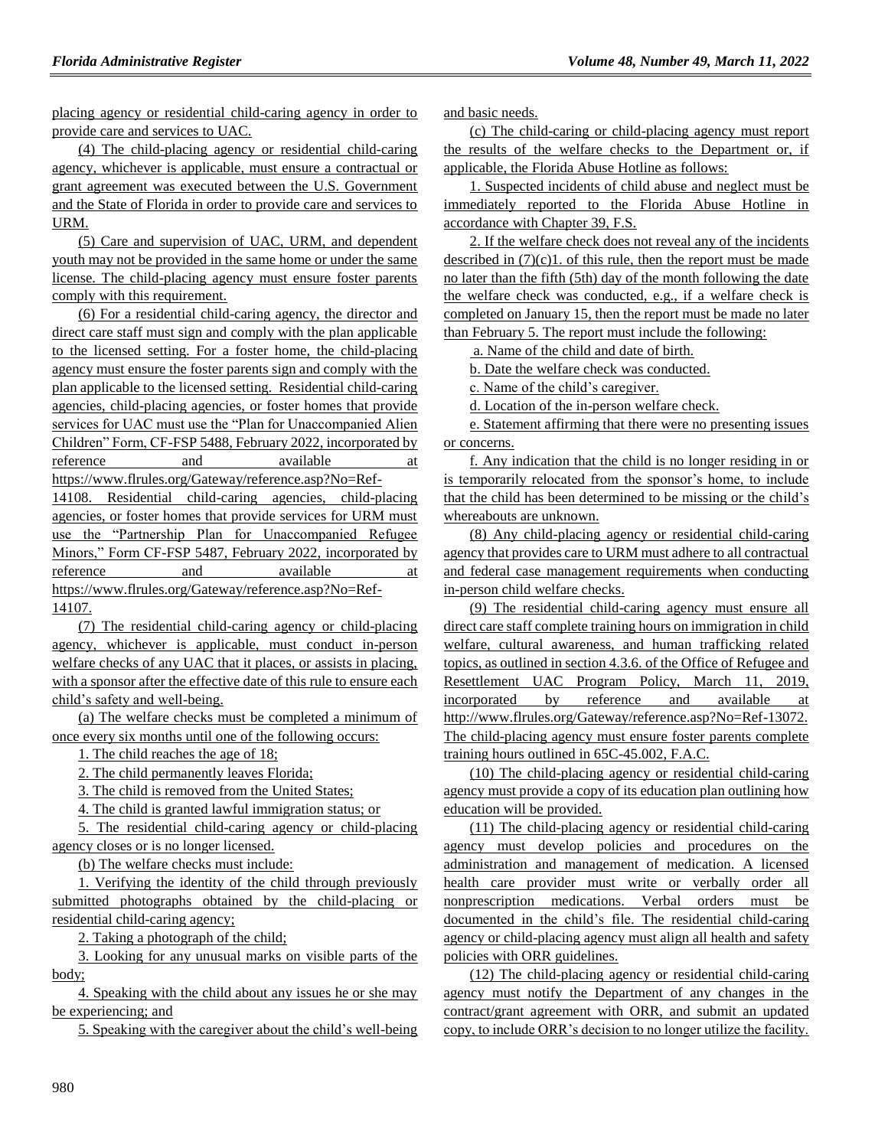placing agency or residential child-caring agency in order to provide care and services to UAC.

(4) The child-placing agency or residential child-caring agency, whichever is applicable, must ensure a contractual or grant agreement was executed between the U.S. Government and the State of Florida in order to provide care and services to URM.

(5) Care and supervision of UAC, URM, and dependent youth may not be provided in the same home or under the same license. The child-placing agency must ensure foster parents comply with this requirement.

(6) For a residential child-caring agency, the director and direct care staff must sign and comply with the plan applicable to the licensed setting. For a foster home, the child-placing agency must ensure the foster parents sign and comply with the plan applicable to the licensed setting. Residential child-caring agencies, child-placing agencies, or foster homes that provide services for UAC must use the "Plan for Unaccompanied Alien Children" Form, CF-FSP 5488, February 2022, incorporated by reference and available at https://www.flrules.org/Gateway/reference.asp?No=Ref-

14108. Residential child-caring agencies, child-placing agencies, or foster homes that provide services for URM must use the "Partnership Plan for Unaccompanied Refugee Minors," Form CF-FSP 5487, February 2022, incorporated by reference and available at https://www.flrules.org/Gateway/reference.asp?No=Ref-14107.

(7) The residential child-caring agency or child-placing agency, whichever is applicable, must conduct in-person welfare checks of any UAC that it places, or assists in placing, with a sponsor after the effective date of this rule to ensure each child's safety and well-being.

(a) The welfare checks must be completed a minimum of once every six months until one of the following occurs:

1. The child reaches the age of 18;

2. The child permanently leaves Florida;

3. The child is removed from the United States;

4. The child is granted lawful immigration status; or

5. The residential child-caring agency or child-placing agency closes or is no longer licensed.

(b) The welfare checks must include:

1. Verifying the identity of the child through previously submitted photographs obtained by the child-placing or residential child-caring agency;

2. Taking a photograph of the child;

3. Looking for any unusual marks on visible parts of the body;

4. Speaking with the child about any issues he or she may be experiencing; and

5. Speaking with the caregiver about the child's well-being

and basic needs.

(c) The child-caring or child-placing agency must report the results of the welfare checks to the Department or, if applicable, the Florida Abuse Hotline as follows:

1. Suspected incidents of child abuse and neglect must be immediately reported to the Florida Abuse Hotline in accordance with Chapter 39, F.S.

2. If the welfare check does not reveal any of the incidents described in  $(7)(c)1$ . of this rule, then the report must be made no later than the fifth (5th) day of the month following the date the welfare check was conducted, e.g., if a welfare check is completed on January 15, then the report must be made no later than February 5. The report must include the following:

a. Name of the child and date of birth.

b. Date the welfare check was conducted.

c. Name of the child's caregiver.

d. Location of the in-person welfare check.

e. Statement affirming that there were no presenting issues or concerns.

f. Any indication that the child is no longer residing in or is temporarily relocated from the sponsor's home, to include that the child has been determined to be missing or the child's whereabouts are unknown.

(8) Any child-placing agency or residential child-caring agency that provides care to URM must adhere to all contractual and federal case management requirements when conducting in-person child welfare checks.

(9) The residential child-caring agency must ensure all direct care staff complete training hours on immigration in child welfare, cultural awareness, and human trafficking related topics, as outlined in section 4.3.6. of the Office of Refugee and Resettlement UAC Program Policy, March 11, 2019, incorporated by reference and available at http://www.flrules.org/Gateway/reference.asp?No=Ref-13072. The child-placing agency must ensure foster parents complete training hours outlined in 65C-45.002, F.A.C.

(10) The child-placing agency or residential child-caring agency must provide a copy of its education plan outlining how education will be provided.

(11) The child-placing agency or residential child-caring agency must develop policies and procedures on the administration and management of medication. A licensed health care provider must write or verbally order all nonprescription medications. Verbal orders must be documented in the child's file. The residential child-caring agency or child-placing agency must align all health and safety policies with ORR guidelines.

(12) The child-placing agency or residential child-caring agency must notify the Department of any changes in the contract/grant agreement with ORR, and submit an updated copy, to include ORR's decision to no longer utilize the facility.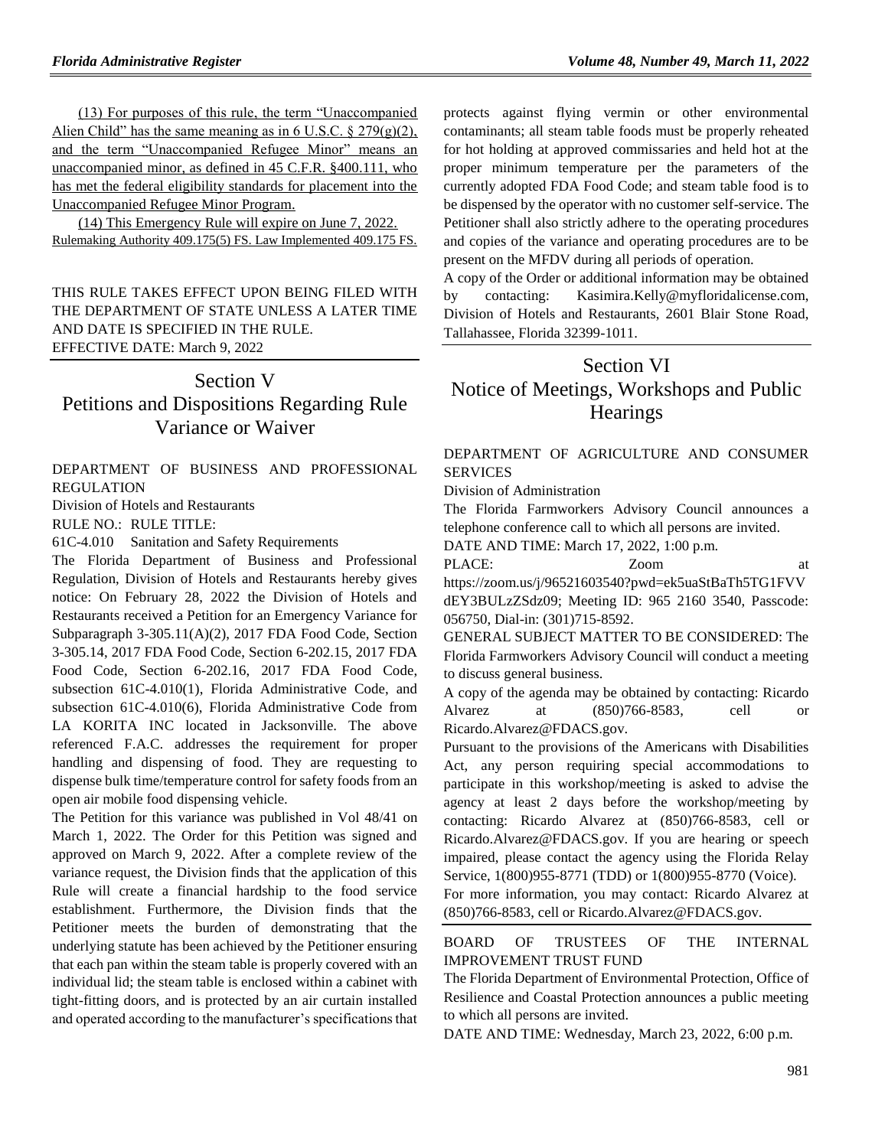(13) For purposes of this rule, the term "Unaccompanied Alien Child" has the same meaning as in 6 U.S.C.  $\S 279(g)(2)$ , and the term "Unaccompanied Refugee Minor" means an unaccompanied minor, as defined in 45 C.F.R. §400.111, who has met the federal eligibility standards for placement into the Unaccompanied Refugee Minor Program.

(14) This Emergency Rule will expire on June 7, 2022. Rulemaking Authority 409.175(5) FS. Law Implemented 409.175 FS.

THIS RULE TAKES EFFECT UPON BEING FILED WITH THE DEPARTMENT OF STATE UNLESS A LATER TIME AND DATE IS SPECIFIED IN THE RULE. EFFECTIVE DATE: March 9, 2022

### Section V

## Petitions and Dispositions Regarding Rule Variance or Waiver

[DEPARTMENT OF BUSINESS AND PROFESSIONAL](https://www.flrules.org/gateway/department.asp?id=61)  [REGULATION](https://www.flrules.org/gateway/department.asp?id=61)

[Division of Hotels and Restaurants](https://www.flrules.org/gateway/organization.asp?id=249)

RULE NO.: RULE TITLE:

[61C-4.010](https://www.flrules.org/gateway/ruleNo.asp?id=61C-4.010) Sanitation and Safety Requirements

The Florida Department of Business and Professional Regulation, Division of Hotels and Restaurants hereby gives notice: On February 28, 2022 the Division of Hotels and Restaurants received a Petition for an Emergency Variance for Subparagraph 3-305.11(A)(2), 2017 FDA Food Code, Section 3-305.14, 2017 FDA Food Code, Section 6-202.15, 2017 FDA Food Code, Section 6-202.16, 2017 FDA Food Code, subsection 61C-4.010(1), Florida Administrative Code, and subsection 61C-4.010(6), Florida Administrative Code from LA KORITA INC located in Jacksonville. The above referenced F.A.C. addresses the requirement for proper handling and dispensing of food. They are requesting to dispense bulk time/temperature control for safety foods from an open air mobile food dispensing vehicle.

The Petition for this variance was published in Vol 48/41 on March 1, 2022. The Order for this Petition was signed and approved on March 9, 2022. After a complete review of the variance request, the Division finds that the application of this Rule will create a financial hardship to the food service establishment. Furthermore, the Division finds that the Petitioner meets the burden of demonstrating that the underlying statute has been achieved by the Petitioner ensuring that each pan within the steam table is properly covered with an individual lid; the steam table is enclosed within a cabinet with tight-fitting doors, and is protected by an air curtain installed and operated according to the manufacturer's specifications that

protects against flying vermin or other environmental contaminants; all steam table foods must be properly reheated for hot holding at approved commissaries and held hot at the proper minimum temperature per the parameters of the currently adopted FDA Food Code; and steam table food is to be dispensed by the operator with no customer self-service. The Petitioner shall also strictly adhere to the operating procedures and copies of the variance and operating procedures are to be present on the MFDV during all periods of operation.

A copy of the Order or additional information may be obtained by contacting: Kasimira.Kelly@myfloridalicense.com, Division of Hotels and Restaurants, 2601 Blair Stone Road, Tallahassee, Florida 32399-1011.

# Section VI Notice of Meetings, Workshops and Public **Hearings**

#### [DEPARTMENT OF AGRICULTURE AND CONSUMER](https://www.flrules.org/gateway/department.asp?id=5)  **[SERVICES](https://www.flrules.org/gateway/department.asp?id=5)**

[Division of Administration](https://www.flrules.org/gateway/organization.asp?id=161)

The Florida Farmworkers Advisory Council announces a telephone conference call to which all persons are invited.

DATE AND TIME: March 17, 2022, 1:00 p.m. PLACE:  $Zoom$  at

https://zoom.us/j/96521603540?pwd=ek5uaStBaTh5TG1FVV dEY3BULzZSdz09; Meeting ID: 965 2160 3540, Passcode: 056750, Dial-in: (301)715-8592.

GENERAL SUBJECT MATTER TO BE CONSIDERED: The Florida Farmworkers Advisory Council will conduct a meeting to discuss general business.

A copy of the agenda may be obtained by contacting: Ricardo Alvarez at (850)766-8583, cell or Ricardo.Alvarez@FDACS.gov.

Pursuant to the provisions of the Americans with Disabilities Act, any person requiring special accommodations to participate in this workshop/meeting is asked to advise the agency at least 2 days before the workshop/meeting by contacting: Ricardo Alvarez at (850)766-8583, cell or Ricardo.Alvarez@FDACS.gov. If you are hearing or speech impaired, please contact the agency using the Florida Relay Service, 1(800)955-8771 (TDD) or 1(800)955-8770 (Voice).

For more information, you may contact: Ricardo Alvarez at (850)766-8583, cell or Ricardo.Alvarez@FDACS.gov.

#### [BOARD OF TRUSTEES OF THE INTERNAL](https://www.flrules.org/gateway/department.asp?id=18)  [IMPROVEMENT TRUST FUND](https://www.flrules.org/gateway/department.asp?id=18)

The Florida Department of Environmental Protection, Office of Resilience and Coastal Protection announces a public meeting to which all persons are invited.

DATE AND TIME: Wednesday, March 23, 2022, 6:00 p.m.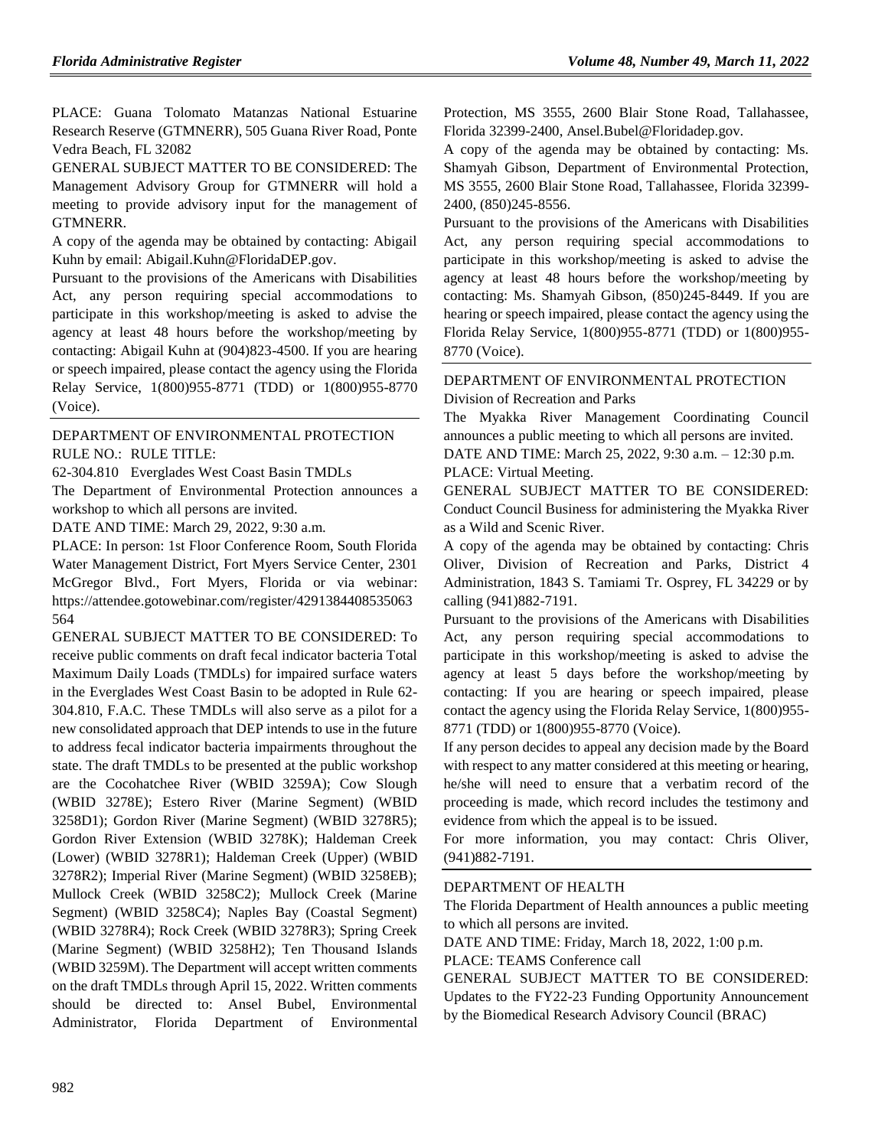PLACE: Guana Tolomato Matanzas National Estuarine Research Reserve (GTMNERR), 505 Guana River Road, Ponte Vedra Beach, FL 32082

GENERAL SUBJECT MATTER TO BE CONSIDERED: The Management Advisory Group for GTMNERR will hold a meeting to provide advisory input for the management of GTMNERR.

A copy of the agenda may be obtained by contacting: Abigail Kuhn by email: Abigail.Kuhn@FloridaDEP.gov.

Pursuant to the provisions of the Americans with Disabilities Act, any person requiring special accommodations to participate in this workshop/meeting is asked to advise the agency at least 48 hours before the workshop/meeting by contacting: Abigail Kuhn at (904)823-4500. If you are hearing or speech impaired, please contact the agency using the Florida Relay Service, 1(800)955-8771 (TDD) or 1(800)955-8770 (Voice).

### [DEPARTMENT OF ENVIRONMENTAL PROTECTION](https://www.flrules.org/gateway/department.asp?id=62) RULE NO.: RULE TITLE:

[62-304.810](https://www.flrules.org/gateway/ruleNo.asp?id=62-304.810) Everglades West Coast Basin TMDLs

The Department of Environmental Protection announces a workshop to which all persons are invited.

DATE AND TIME: March 29, 2022, 9:30 a.m.

PLACE: In person: 1st Floor Conference Room, South Florida Water Management District, Fort Myers Service Center, 2301 McGregor Blvd., Fort Myers, Florida or via webinar: https://attendee.gotowebinar.com/register/4291384408535063 564

GENERAL SUBJECT MATTER TO BE CONSIDERED: To receive public comments on draft fecal indicator bacteria Total Maximum Daily Loads (TMDLs) for impaired surface waters in the Everglades West Coast Basin to be adopted in Rule 62- 304.810, F.A.C. These TMDLs will also serve as a pilot for a new consolidated approach that DEP intends to use in the future to address fecal indicator bacteria impairments throughout the state. The draft TMDLs to be presented at the public workshop are the Cocohatchee River (WBID 3259A); Cow Slough (WBID 3278E); Estero River (Marine Segment) (WBID 3258D1); Gordon River (Marine Segment) (WBID 3278R5); Gordon River Extension (WBID 3278K); Haldeman Creek (Lower) (WBID 3278R1); Haldeman Creek (Upper) (WBID 3278R2); Imperial River (Marine Segment) (WBID 3258EB); Mullock Creek (WBID 3258C2); Mullock Creek (Marine Segment) (WBID 3258C4); Naples Bay (Coastal Segment) (WBID 3278R4); Rock Creek (WBID 3278R3); Spring Creek (Marine Segment) (WBID 3258H2); Ten Thousand Islands (WBID 3259M). The Department will accept written comments on the draft TMDLs through April 15, 2022. Written comments should be directed to: Ansel Bubel, Environmental Administrator, Florida Department of Environmental Protection, MS 3555, 2600 Blair Stone Road, Tallahassee, Florida 32399-2400, Ansel.Bubel@Floridadep.gov.

A copy of the agenda may be obtained by contacting: Ms. Shamyah Gibson, Department of Environmental Protection, MS 3555, 2600 Blair Stone Road, Tallahassee, Florida 32399- 2400, (850)245-8556.

Pursuant to the provisions of the Americans with Disabilities Act, any person requiring special accommodations to participate in this workshop/meeting is asked to advise the agency at least 48 hours before the workshop/meeting by contacting: Ms. Shamyah Gibson, (850)245-8449. If you are hearing or speech impaired, please contact the agency using the Florida Relay Service, 1(800)955-8771 (TDD) or 1(800)955- 8770 (Voice).

### [DEPARTMENT OF ENVIRONMENTAL PROTECTION](https://www.flrules.org/gateway/department.asp?id=62) [Division of Recreation and Parks](https://www.flrules.org/gateway/organization.asp?id=290)

The Myakka River Management Coordinating Council announces a public meeting to which all persons are invited.

DATE AND TIME: March 25, 2022, 9:30 a.m. – 12:30 p.m. PLACE: Virtual Meeting.

GENERAL SUBJECT MATTER TO BE CONSIDERED: Conduct Council Business for administering the Myakka River as a Wild and Scenic River.

A copy of the agenda may be obtained by contacting: Chris Oliver, Division of Recreation and Parks, District 4 Administration, 1843 S. Tamiami Tr. Osprey, FL 34229 or by calling (941)882-7191.

Pursuant to the provisions of the Americans with Disabilities Act, any person requiring special accommodations to participate in this workshop/meeting is asked to advise the agency at least 5 days before the workshop/meeting by contacting: If you are hearing or speech impaired, please contact the agency using the Florida Relay Service, 1(800)955- 8771 (TDD) or 1(800)955-8770 (Voice).

If any person decides to appeal any decision made by the Board with respect to any matter considered at this meeting or hearing, he/she will need to ensure that a verbatim record of the proceeding is made, which record includes the testimony and evidence from which the appeal is to be issued.

For more information, you may contact: Chris Oliver, (941)882-7191.

### [DEPARTMENT OF HEALTH](https://www.flrules.org/gateway/department.asp?id=64)

The Florida Department of Health announces a public meeting to which all persons are invited.

DATE AND TIME: Friday, March 18, 2022, 1:00 p.m.

PLACE: TEAMS Conference call

GENERAL SUBJECT MATTER TO BE CONSIDERED: Updates to the FY22-23 Funding Opportunity Announcement by the Biomedical Research Advisory Council (BRAC)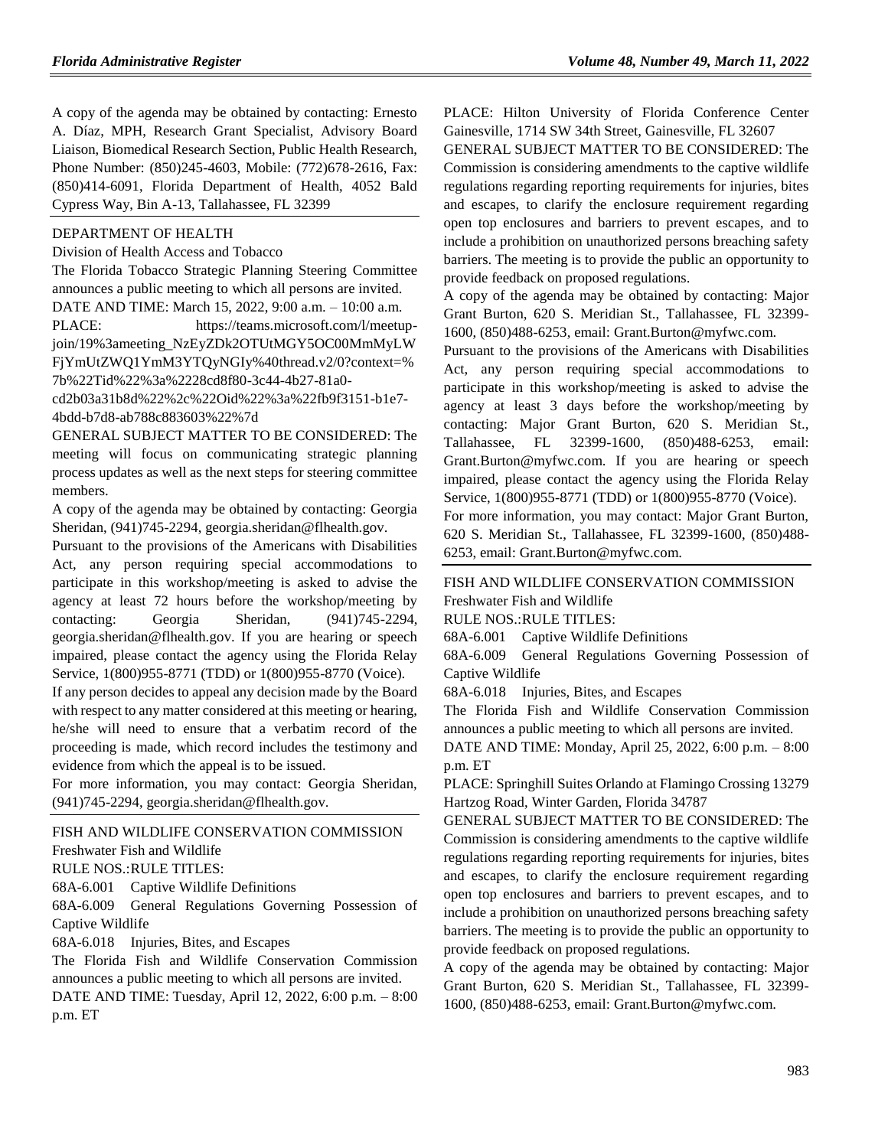A copy of the agenda may be obtained by contacting: Ernesto A. Díaz, MPH, Research Grant Specialist, Advisory Board Liaison, Biomedical Research Section, Public Health Research, Phone Number: (850)245-4603, Mobile: (772)678-2616, Fax: (850)414-6091, Florida Department of Health, 4052 Bald Cypress Way, Bin A-13, Tallahassee, FL 32399

#### [DEPARTMENT OF HEALTH](https://www.flrules.org/gateway/department.asp?id=64)

[Division of Health Access and Tobacco](https://www.flrules.org/gateway/organization.asp?id=506)

The Florida Tobacco Strategic Planning Steering Committee announces a public meeting to which all persons are invited. DATE AND TIME: March 15, 2022, 9:00 a.m. – 10:00 a.m.

PLACE: https://teams.microsoft.com/l/meetupjoin/19%3ameeting\_NzEyZDk2OTUtMGY5OC00MmMyLW FjYmUtZWQ1YmM3YTQyNGIy%40thread.v2/0?context=% 7b%22Tid%22%3a%2228cd8f80-3c44-4b27-81a0-

cd2b03a31b8d%22%2c%22Oid%22%3a%22fb9f3151-b1e7- 4bdd-b7d8-ab788c883603%22%7d

GENERAL SUBJECT MATTER TO BE CONSIDERED: The meeting will focus on communicating strategic planning process updates as well as the next steps for steering committee members.

A copy of the agenda may be obtained by contacting: Georgia Sheridan, (941)745-2294, georgia.sheridan@flhealth.gov.

Pursuant to the provisions of the Americans with Disabilities Act, any person requiring special accommodations to participate in this workshop/meeting is asked to advise the agency at least 72 hours before the workshop/meeting by contacting: Georgia Sheridan, (941)745-2294, georgia.sheridan@flhealth.gov. If you are hearing or speech impaired, please contact the agency using the Florida Relay Service, 1(800)955-8771 (TDD) or 1(800)955-8770 (Voice).

If any person decides to appeal any decision made by the Board with respect to any matter considered at this meeting or hearing, he/she will need to ensure that a verbatim record of the proceeding is made, which record includes the testimony and evidence from which the appeal is to be issued.

For more information, you may contact: Georgia Sheridan, (941)745-2294, georgia.sheridan@flhealth.gov.

#### [FISH AND WILDLIFE CONSERVATION COMMISSION](https://www.flrules.org/gateway/department.asp?id=68) [Freshwater Fish and Wildlife](https://www.flrules.org/gateway/organization.asp?id=347)

RULE NOS.:RULE TITLES:

[68A-6.001](https://www.flrules.org/gateway/ruleNo.asp?id=68A-6.001) Captive Wildlife Definitions

[68A-6.009](https://www.flrules.org/gateway/ruleNo.asp?id=68A-6.009) General Regulations Governing Possession of Captive Wildlife

[68A-6.018](https://www.flrules.org/gateway/ruleNo.asp?id=68A-6.018) Injuries, Bites, and Escapes

The Florida Fish and Wildlife Conservation Commission announces a public meeting to which all persons are invited.

DATE AND TIME: Tuesday, April 12, 2022, 6:00 p.m. – 8:00 p.m. ET

PLACE: Hilton University of Florida Conference Center Gainesville, 1714 SW 34th Street, Gainesville, FL 32607

GENERAL SUBJECT MATTER TO BE CONSIDERED: The Commission is considering amendments to the captive wildlife regulations regarding reporting requirements for injuries, bites and escapes, to clarify the enclosure requirement regarding open top enclosures and barriers to prevent escapes, and to include a prohibition on unauthorized persons breaching safety barriers. The meeting is to provide the public an opportunity to provide feedback on proposed regulations.

A copy of the agenda may be obtained by contacting: Major Grant Burton, 620 S. Meridian St., Tallahassee, FL 32399- 1600, (850)488-6253, email: Grant.Burton@myfwc.com.

Pursuant to the provisions of the Americans with Disabilities Act, any person requiring special accommodations to participate in this workshop/meeting is asked to advise the agency at least 3 days before the workshop/meeting by contacting: Major Grant Burton, 620 S. Meridian St., Tallahassee, FL 32399-1600, (850)488-6253, email: Grant.Burton@myfwc.com. If you are hearing or speech impaired, please contact the agency using the Florida Relay Service, 1(800)955-8771 (TDD) or 1(800)955-8770 (Voice).

For more information, you may contact: Major Grant Burton, 620 S. Meridian St., Tallahassee, FL 32399-1600, (850)488- 6253, email: Grant.Burton@myfwc.com.

### [FISH AND WILDLIFE CONSERVATION COMMISSION](https://www.flrules.org/gateway/department.asp?id=68) [Freshwater Fish and Wildlife](https://www.flrules.org/gateway/organization.asp?id=347)

RULE NOS.:RULE TITLES:

[68A-6.001](https://www.flrules.org/gateway/ruleNo.asp?id=68A-6.001) Captive Wildlife Definitions

[68A-6.009](https://www.flrules.org/gateway/ruleNo.asp?id=68A-6.009) General Regulations Governing Possession of Captive Wildlife

[68A-6.018](https://www.flrules.org/gateway/ruleNo.asp?id=68A-6.018) Injuries, Bites, and Escapes

The Florida Fish and Wildlife Conservation Commission announces a public meeting to which all persons are invited.

DATE AND TIME: Monday, April 25, 2022, 6:00 p.m. – 8:00 p.m. ET

PLACE: Springhill Suites Orlando at Flamingo Crossing 13279 Hartzog Road, Winter Garden, Florida 34787

GENERAL SUBJECT MATTER TO BE CONSIDERED: The Commission is considering amendments to the captive wildlife regulations regarding reporting requirements for injuries, bites and escapes, to clarify the enclosure requirement regarding open top enclosures and barriers to prevent escapes, and to include a prohibition on unauthorized persons breaching safety barriers. The meeting is to provide the public an opportunity to provide feedback on proposed regulations.

A copy of the agenda may be obtained by contacting: Major Grant Burton, 620 S. Meridian St., Tallahassee, FL 32399- 1600, (850)488-6253, email: Grant.Burton@myfwc.com.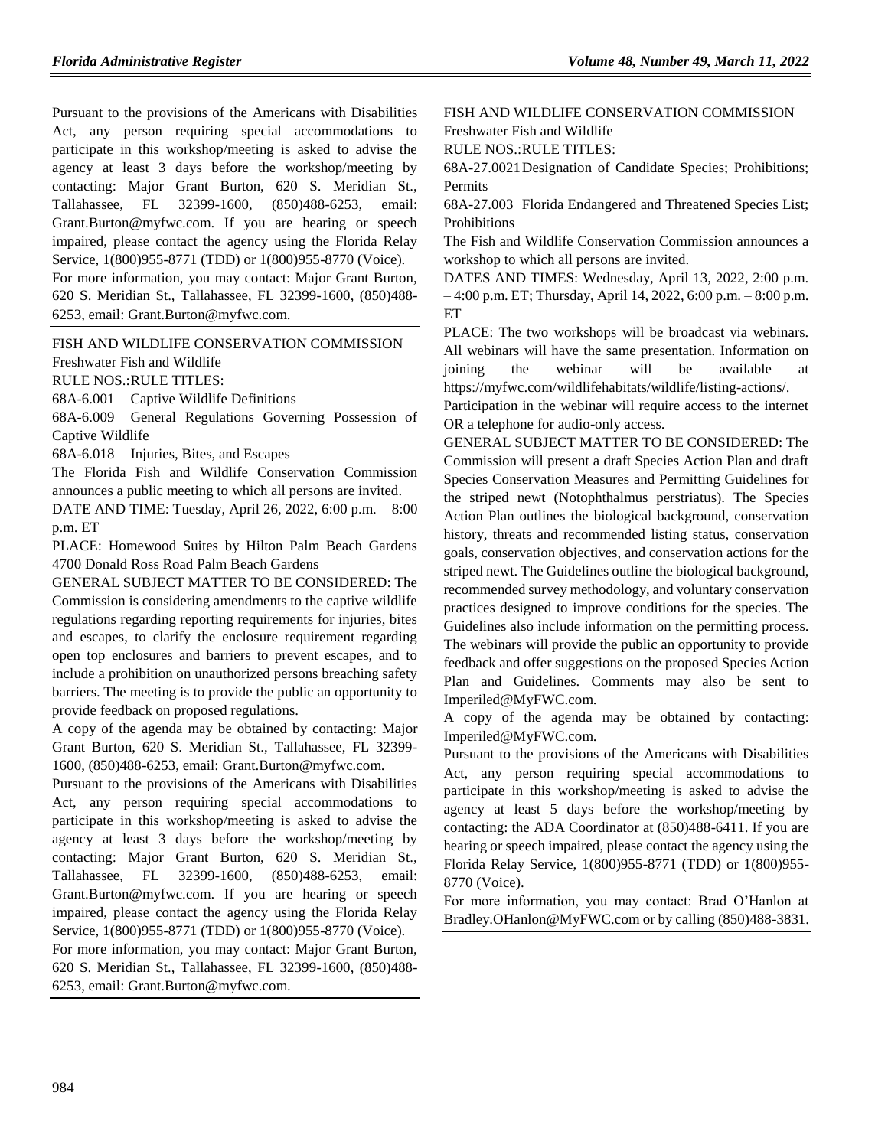Pursuant to the provisions of the Americans with Disabilities Act, any person requiring special accommodations to participate in this workshop/meeting is asked to advise the agency at least 3 days before the workshop/meeting by contacting: Major Grant Burton, 620 S. Meridian St., Tallahassee, FL 32399-1600, (850)488-6253, email: Grant.Burton@myfwc.com. If you are hearing or speech impaired, please contact the agency using the Florida Relay Service, 1(800)955-8771 (TDD) or 1(800)955-8770 (Voice). For more information, you may contact: Major Grant Burton, 620 S. Meridian St., Tallahassee, FL 32399-1600, (850)488- 6253, email: Grant.Burton@myfwc.com.

[FISH AND WILDLIFE CONSERVATION COMMISSION](https://www.flrules.org/gateway/department.asp?id=68) [Freshwater Fish and Wildlife](https://www.flrules.org/gateway/organization.asp?id=347)

RULE NOS.:RULE TITLES:

[68A-6.001](https://www.flrules.org/gateway/ruleNo.asp?id=68A-6.001) Captive Wildlife Definitions

[68A-6.009](https://www.flrules.org/gateway/ruleNo.asp?id=68A-6.009) General Regulations Governing Possession of Captive Wildlife

[68A-6.018](https://www.flrules.org/gateway/ruleNo.asp?id=68A-6.018) Injuries, Bites, and Escapes

The Florida Fish and Wildlife Conservation Commission announces a public meeting to which all persons are invited.

DATE AND TIME: Tuesday, April 26, 2022, 6:00 p.m. – 8:00 p.m. ET

PLACE: Homewood Suites by Hilton Palm Beach Gardens 4700 Donald Ross Road Palm Beach Gardens

GENERAL SUBJECT MATTER TO BE CONSIDERED: The Commission is considering amendments to the captive wildlife regulations regarding reporting requirements for injuries, bites and escapes, to clarify the enclosure requirement regarding open top enclosures and barriers to prevent escapes, and to include a prohibition on unauthorized persons breaching safety barriers. The meeting is to provide the public an opportunity to provide feedback on proposed regulations.

A copy of the agenda may be obtained by contacting: Major Grant Burton, 620 S. Meridian St., Tallahassee, FL 32399- 1600, (850)488-6253, email: Grant.Burton@myfwc.com.

Pursuant to the provisions of the Americans with Disabilities Act, any person requiring special accommodations to participate in this workshop/meeting is asked to advise the agency at least 3 days before the workshop/meeting by contacting: Major Grant Burton, 620 S. Meridian St., Tallahassee, FL 32399-1600, (850)488-6253, email: Grant.Burton@myfwc.com. If you are hearing or speech impaired, please contact the agency using the Florida Relay Service, 1(800)955-8771 (TDD) or 1(800)955-8770 (Voice).

For more information, you may contact: Major Grant Burton, 620 S. Meridian St., Tallahassee, FL 32399-1600, (850)488- 6253, email: Grant.Burton@myfwc.com.

[FISH AND WILDLIFE CONSERVATION COMMISSION](https://www.flrules.org/gateway/department.asp?id=68) [Freshwater Fish and Wildlife](https://www.flrules.org/gateway/organization.asp?id=347)

RULE NOS.:RULE TITLES:

[68A-27.0021D](https://www.flrules.org/gateway/ruleNo.asp?id=68A-27.0021)esignation of Candidate Species; Prohibitions; Permits

[68A-27.003](https://www.flrules.org/gateway/ruleNo.asp?id=68A-27.003) Florida Endangered and Threatened Species List; Prohibitions

The Fish and Wildlife Conservation Commission announces a workshop to which all persons are invited.

DATES AND TIMES: Wednesday, April 13, 2022, 2:00 p.m. – 4:00 p.m. ET; Thursday, April 14, 2022, 6:00 p.m. – 8:00 p.m. ET

PLACE: The two workshops will be broadcast via webinars. All webinars will have the same presentation. Information on joining the webinar will be available at https://myfwc.com/wildlifehabitats/wildlife/listing-actions/.

Participation in the webinar will require access to the internet OR a telephone for audio-only access.

GENERAL SUBJECT MATTER TO BE CONSIDERED: The Commission will present a draft Species Action Plan and draft Species Conservation Measures and Permitting Guidelines for the striped newt (Notophthalmus perstriatus). The Species Action Plan outlines the biological background, conservation history, threats and recommended listing status, conservation goals, conservation objectives, and conservation actions for the striped newt. The Guidelines outline the biological background, recommended survey methodology, and voluntary conservation practices designed to improve conditions for the species. The Guidelines also include information on the permitting process. The webinars will provide the public an opportunity to provide feedback and offer suggestions on the proposed Species Action Plan and Guidelines. Comments may also be sent to Imperiled@MyFWC.com.

A copy of the agenda may be obtained by contacting: Imperiled@MyFWC.com.

Pursuant to the provisions of the Americans with Disabilities Act, any person requiring special accommodations to participate in this workshop/meeting is asked to advise the agency at least 5 days before the workshop/meeting by contacting: the ADA Coordinator at (850)488-6411. If you are hearing or speech impaired, please contact the agency using the Florida Relay Service, 1(800)955-8771 (TDD) or 1(800)955- 8770 (Voice).

For more information, you may contact: Brad O'Hanlon at Bradley.OHanlon@MyFWC.com or by calling (850)488-3831.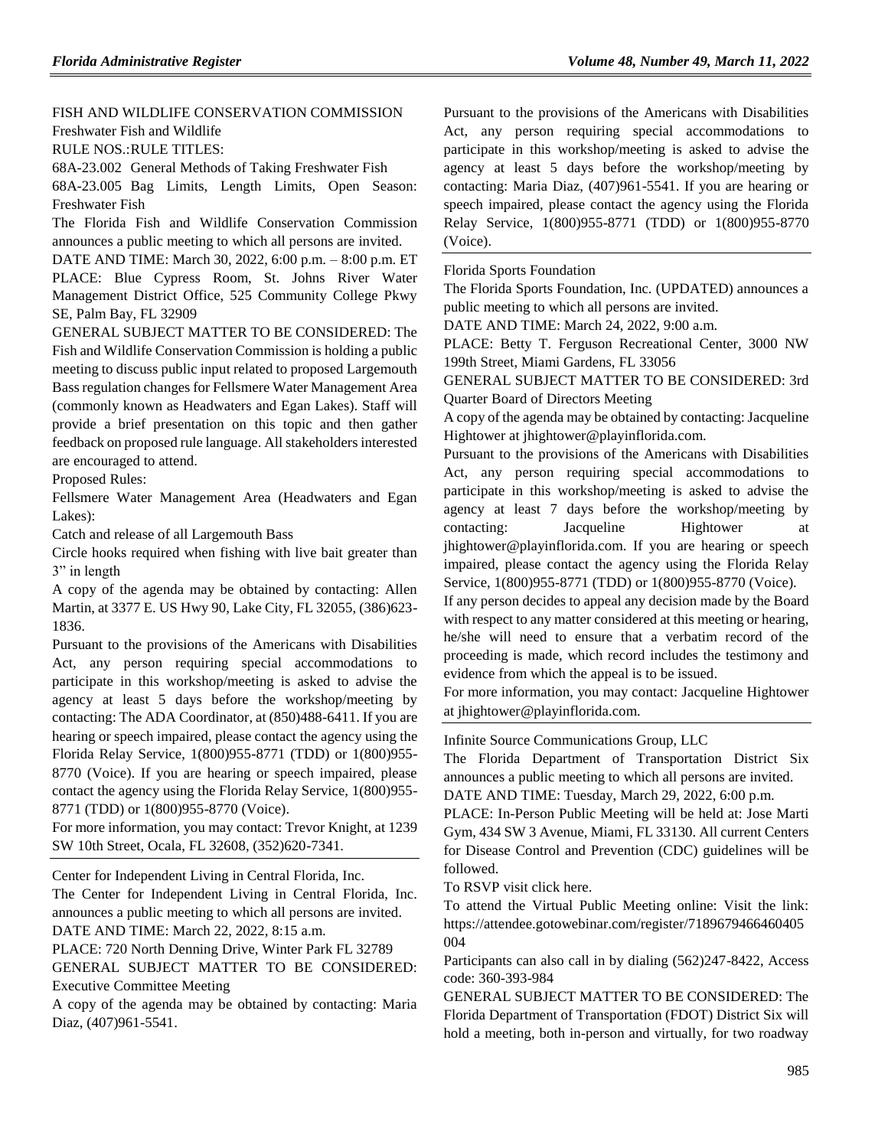[FISH AND WILDLIFE CONSERVATION COMMISSION](https://www.flrules.org/gateway/department.asp?id=68) [Freshwater Fish and Wildlife](https://www.flrules.org/gateway/organization.asp?id=347)

RULE NOS.:RULE TITLES:

[68A-23.002](https://www.flrules.org/gateway/ruleNo.asp?id=68A-23.002) General Methods of Taking Freshwater Fish

[68A-23.005](https://www.flrules.org/gateway/ruleNo.asp?id=68A-23.005) Bag Limits, Length Limits, Open Season: Freshwater Fish

The Florida Fish and Wildlife Conservation Commission announces a public meeting to which all persons are invited.

DATE AND TIME: March 30, 2022, 6:00 p.m. – 8:00 p.m. ET PLACE: Blue Cypress Room, St. Johns River Water Management District Office, 525 Community College Pkwy SE, Palm Bay, FL 32909

GENERAL SUBJECT MATTER TO BE CONSIDERED: The Fish and Wildlife Conservation Commission is holding a public meeting to discuss public input related to proposed Largemouth Bass regulation changes for Fellsmere Water Management Area (commonly known as Headwaters and Egan Lakes). Staff will provide a brief presentation on this topic and then gather feedback on proposed rule language. All stakeholders interested are encouraged to attend.

Proposed Rules:

Fellsmere Water Management Area (Headwaters and Egan Lakes):

Catch and release of all Largemouth Bass

Circle hooks required when fishing with live bait greater than 3" in length

A copy of the agenda may be obtained by contacting: Allen Martin, at 3377 E. US Hwy 90, Lake City, FL 32055, (386)623- 1836.

Pursuant to the provisions of the Americans with Disabilities Act, any person requiring special accommodations to participate in this workshop/meeting is asked to advise the agency at least 5 days before the workshop/meeting by contacting: The ADA Coordinator, at (850)488-6411. If you are hearing or speech impaired, please contact the agency using the Florida Relay Service, 1(800)955-8771 (TDD) or 1(800)955- 8770 (Voice). If you are hearing or speech impaired, please contact the agency using the Florida Relay Service, 1(800)955- 8771 (TDD) or 1(800)955-8770 (Voice).

For more information, you may contact: Trevor Knight, at 1239 SW 10th Street, Ocala, FL 32608, (352)620-7341.

[Center for Independent Living in Central Florida, Inc.](https://www.flrules.org/gateway/organization.asp?id=760)

The Center for Independent Living in Central Florida, Inc. announces a public meeting to which all persons are invited. DATE AND TIME: March 22, 2022, 8:15 a.m.

PLACE: 720 North Denning Drive, Winter Park FL 32789 GENERAL SUBJECT MATTER TO BE CONSIDERED: Executive Committee Meeting

A copy of the agenda may be obtained by contacting: Maria Diaz, (407)961-5541.

Pursuant to the provisions of the Americans with Disabilities Act, any person requiring special accommodations to participate in this workshop/meeting is asked to advise the agency at least 5 days before the workshop/meeting by contacting: Maria Diaz, (407)961-5541. If you are hearing or speech impaired, please contact the agency using the Florida Relay Service, 1(800)955-8771 (TDD) or 1(800)955-8770 (Voice).

[Florida Sports Foundation](https://www.flrules.org/gateway/organization.asp?id=690)

The Florida Sports Foundation, Inc. (UPDATED) announces a public meeting to which all persons are invited.

DATE AND TIME: March 24, 2022, 9:00 a.m.

PLACE: Betty T. Ferguson Recreational Center, 3000 NW 199th Street, Miami Gardens, FL 33056

GENERAL SUBJECT MATTER TO BE CONSIDERED: 3rd Quarter Board of Directors Meeting

A copy of the agenda may be obtained by contacting: Jacqueline Hightower at jhightower@playinflorida.com.

Pursuant to the provisions of the Americans with Disabilities Act, any person requiring special accommodations to participate in this workshop/meeting is asked to advise the agency at least 7 days before the workshop/meeting by contacting: Jacqueline Hightower at jhightower@playinflorida.com. If you are hearing or speech impaired, please contact the agency using the Florida Relay Service, 1(800)955-8771 (TDD) or 1(800)955-8770 (Voice).

If any person decides to appeal any decision made by the Board with respect to any matter considered at this meeting or hearing, he/she will need to ensure that a verbatim record of the proceeding is made, which record includes the testimony and evidence from which the appeal is to be issued.

For more information, you may contact: Jacqueline Hightower at jhightower@playinflorida.com.

[Infinite Source Communications Group, LLC](https://www.flrules.org/gateway/organization.asp?id=1035)

The Florida Department of Transportation District Six announces a public meeting to which all persons are invited.

DATE AND TIME: Tuesday, March 29, 2022, 6:00 p.m.

PLACE: In-Person Public Meeting will be held at: Jose Marti Gym, 434 SW 3 Avenue, Miami, FL 33130. All current Centers for Disease Control and Prevention (CDC) guidelines will be followed.

To RSVP visit click here.

To attend the Virtual Public Meeting online: Visit the link: https://attendee.gotowebinar.com/register/7189679466460405 004

Participants can also call in by dialing (562)247-8422, Access code: 360-393-984

GENERAL SUBJECT MATTER TO BE CONSIDERED: The Florida Department of Transportation (FDOT) District Six will hold a meeting, both in-person and virtually, for two roadway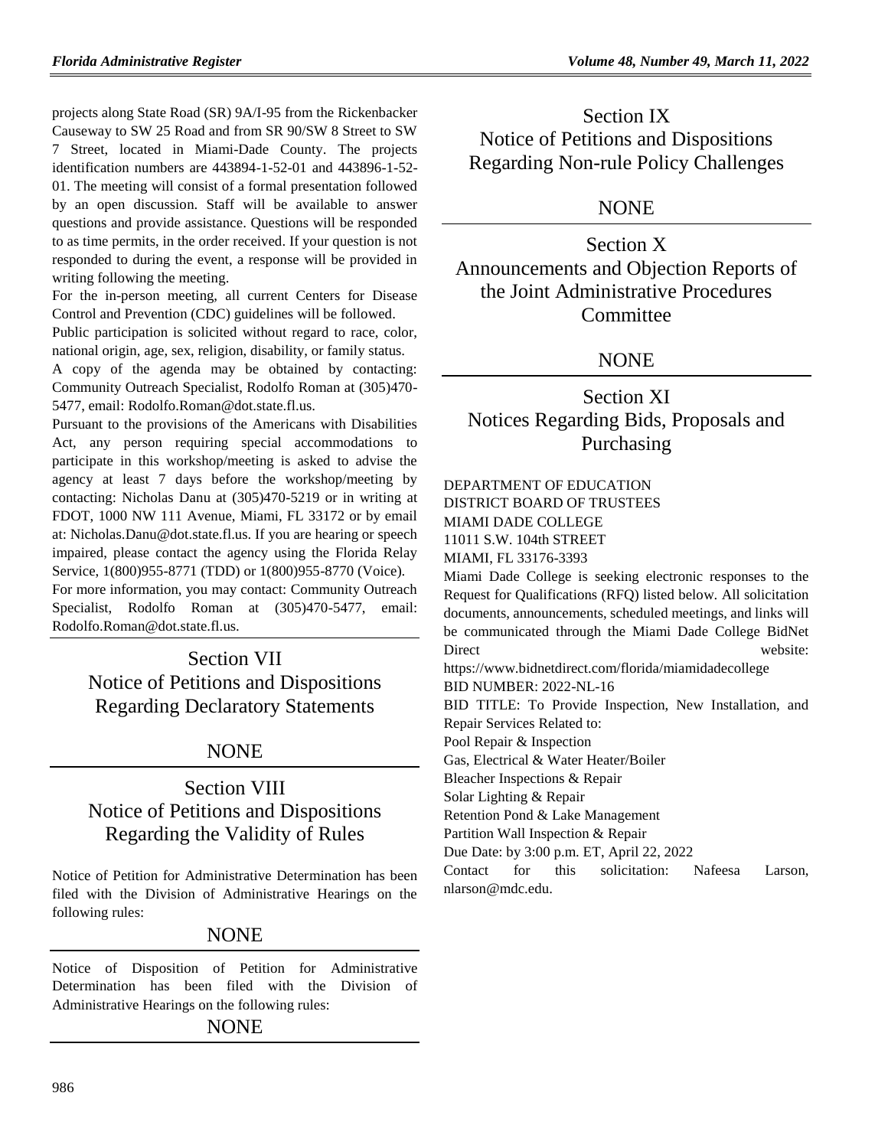projects along State Road (SR) 9A/I-95 from the Rickenbacker Causeway to SW 25 Road and from SR 90/SW 8 Street to SW 7 Street, located in Miami-Dade County. The projects identification numbers are 443894-1-52-01 and 443896-1-52- 01. The meeting will consist of a formal presentation followed by an open discussion. Staff will be available to answer questions and provide assistance. Questions will be responded to as time permits, in the order received. If your question is not responded to during the event, a response will be provided in writing following the meeting.

For the in-person meeting, all current Centers for Disease Control and Prevention (CDC) guidelines will be followed.

Public participation is solicited without regard to race, color, national origin, age, sex, religion, disability, or family status.

A copy of the agenda may be obtained by contacting: Community Outreach Specialist, Rodolfo Roman at (305)470- 5477, email: Rodolfo.Roman@dot.state.fl.us.

Pursuant to the provisions of the Americans with Disabilities Act, any person requiring special accommodations to participate in this workshop/meeting is asked to advise the agency at least 7 days before the workshop/meeting by contacting: Nicholas Danu at (305)470-5219 or in writing at FDOT, 1000 NW 111 Avenue, Miami, FL 33172 or by email at: Nicholas.Danu@dot.state.fl.us. If you are hearing or speech impaired, please contact the agency using the Florida Relay Service, 1(800)955-8771 (TDD) or 1(800)955-8770 (Voice). For more information, you may contact: Community Outreach Specialist, Rodolfo Roman at (305)470-5477, email: Rodolfo.Roman@dot.state.fl.us.

Section VII Notice of Petitions and Dispositions Regarding Declaratory Statements

## **NONE**

# Section VIII Notice of Petitions and Dispositions Regarding the Validity of Rules

Notice of Petition for Administrative Determination has been filed with the Division of Administrative Hearings on the following rules:

## **NONE**

Notice of Disposition of Petition for Administrative Determination has been filed with the Division of Administrative Hearings on the following rules:

### NONE

Section IX Notice of Petitions and Dispositions Regarding Non-rule Policy Challenges

## NONE

Section X Announcements and Objection Reports of the Joint Administrative Procedures Committee

## **NONE**

## Section XI Notices Regarding Bids, Proposals and Purchasing

## [DEPARTMENT OF EDUCATION](https://www.flrules.org/gateway/department.asp?id=6)

DISTRICT BOARD OF TRUSTEES

MIAMI DADE COLLEGE

11011 S.W. 104th STREET

MIAMI, FL 33176-3393

Miami Dade College is seeking electronic responses to the Request for Qualifications (RFQ) listed below. All solicitation documents, announcements, scheduled meetings, and links will be communicated through the Miami Dade College BidNet Direct website:

https://www.bidnetdirect.com/florida/miamidadecollege

BID NUMBER: 2022-NL-16

BID TITLE: To Provide Inspection, New Installation, and Repair Services Related to:

Pool Repair & Inspection

Gas, Electrical & Water Heater/Boiler

Bleacher Inspections & Repair

Solar Lighting & Repair

Retention Pond & Lake Management

Partition Wall Inspection & Repair

Due Date: by 3:00 p.m. ET, April 22, 2022

Contact for this solicitation: Nafeesa Larson, nlarson@mdc.edu.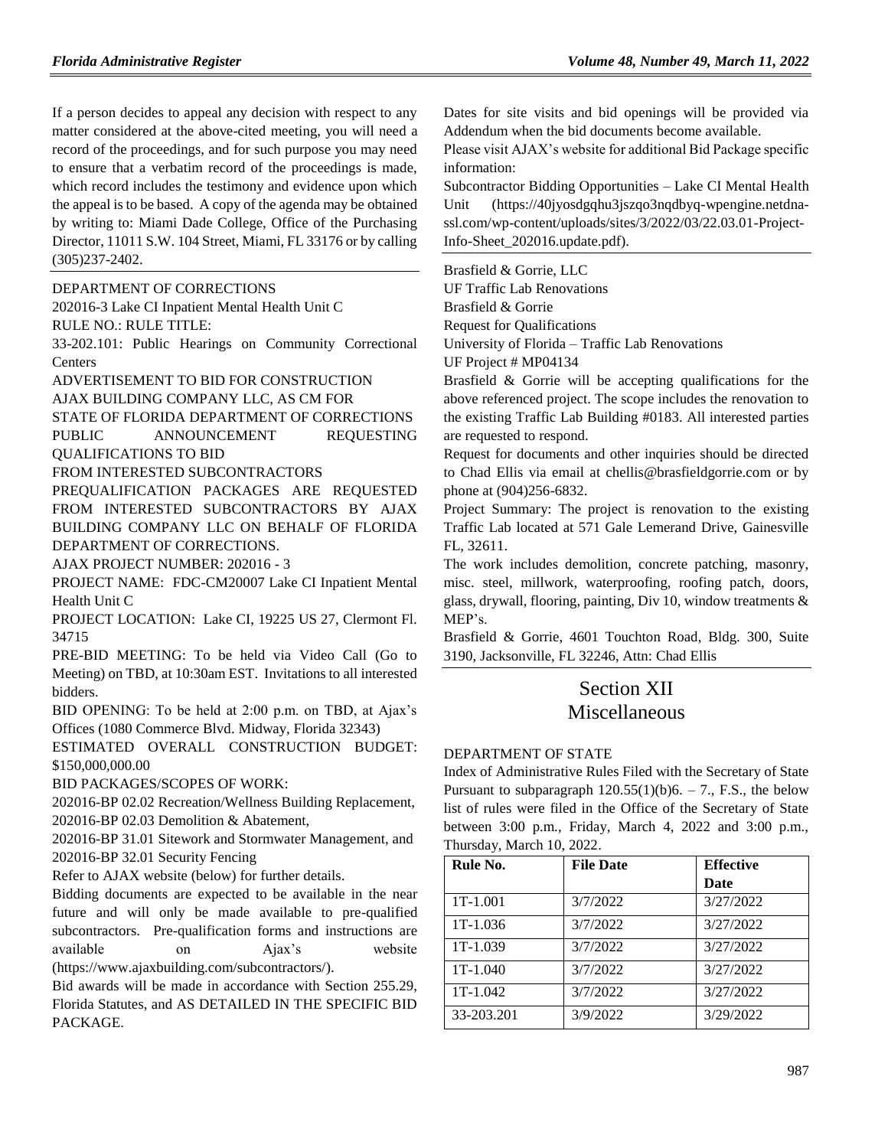If a person decides to appeal any decision with respect to any matter considered at the above-cited meeting, you will need a record of the proceedings, and for such purpose you may need to ensure that a verbatim record of the proceedings is made, which record includes the testimony and evidence upon which the appeal is to be based. A copy of the agenda may be obtained by writing to: Miami Dade College, Office of the Purchasing Director, 11011 S.W. 104 Street, Miami, FL 33176 or by calling (305)237-2402.

[DEPARTMENT OF CORRECTIONS](https://www.flrules.org/gateway/department.asp?id=33)

202016-3 Lake CI Inpatient Mental Health Unit C RULE NO.: RULE TITLE:

[33-202.101:](https://www.flrules.org/gateway/ruleNo.asp?id=33-202.101) Public Hearings on Community Correctional Centers

ADVERTISEMENT TO BID FOR CONSTRUCTION

AJAX BUILDING COMPANY LLC, AS CM FOR

STATE OF FLORIDA DEPARTMENT OF CORRECTIONS PUBLIC ANNOUNCEMENT REQUESTING

QUALIFICATIONS TO BID

FROM INTERESTED SUBCONTRACTORS

PREQUALIFICATION PACKAGES ARE REQUESTED FROM INTERESTED SUBCONTRACTORS BY AJAX BUILDING COMPANY LLC ON BEHALF OF FLORIDA DEPARTMENT OF CORRECTIONS.

AJAX PROJECT NUMBER: 202016 - 3

PROJECT NAME: FDC-CM20007 Lake CI Inpatient Mental Health Unit C

PROJECT LOCATION: Lake CI, 19225 US 27, Clermont Fl. 34715

PRE-BID MEETING: To be held via Video Call (Go to Meeting) on TBD, at 10:30am EST. Invitations to all interested bidders.

BID OPENING: To be held at 2:00 p.m. on TBD, at Ajax's Offices (1080 Commerce Blvd. Midway, Florida 32343)

ESTIMATED OVERALL CONSTRUCTION BUDGET: \$150,000,000.00

BID PACKAGES/SCOPES OF WORK:

202016-BP 02.02 Recreation/Wellness Building Replacement, 202016-BP 02.03 Demolition & Abatement,

202016-BP 31.01 Sitework and Stormwater Management, and 202016-BP 32.01 Security Fencing

Refer to AJAX website (below) for further details.

Bidding documents are expected to be available in the near future and will only be made available to pre-qualified subcontractors. Pre-qualification forms and instructions are available on Ajax's website [\(https://www.ajaxbuilding.com/subcontractors/\)](https://www.ajaxbuilding.com/subcontractors/).

Bid awards will be made in accordance with Section 255.29, Florida Statutes, and AS DETAILED IN THE SPECIFIC BID PACKAGE.

Dates for site visits and bid openings will be provided via Addendum when the bid documents become available.

Please visit AJAX's website for additional Bid Package specific information:

[Subcontractor Bidding Opportunities –](https://40jyosdgqhu3jszqo3nqdbyq-wpengine.netdna-ssl.com/wp-content/uploads/sites/3/2022/03/22.03.01-Project-Info-Sheet_202016.update.pdf) Lake CI Mental Health [Unit](https://40jyosdgqhu3jszqo3nqdbyq-wpengine.netdna-ssl.com/wp-content/uploads/sites/3/2022/03/22.03.01-Project-Info-Sheet_202016.update.pdf) [\(https://40jyosdgqhu3jszqo3nqdbyq-wpengine.netdna](https://40jyosdgqhu3jszqo3nqdbyq-wpengine.netdna-ssl.com/wp-content/uploads/sites/3/2022/03/22.03.01-Project-Info-Sheet_202016.update.pdf)[ssl.com/wp-content/uploads/sites/3/2022/03/22.03.01-Project-](https://40jyosdgqhu3jszqo3nqdbyq-wpengine.netdna-ssl.com/wp-content/uploads/sites/3/2022/03/22.03.01-Project-Info-Sheet_202016.update.pdf)[Info-Sheet\\_202016.update.pdf\)](https://40jyosdgqhu3jszqo3nqdbyq-wpengine.netdna-ssl.com/wp-content/uploads/sites/3/2022/03/22.03.01-Project-Info-Sheet_202016.update.pdf).

[Brasfield & Gorrie, LLC](https://www.flrules.org/gateway/organization.asp?id=1219)

UF Traffic Lab Renovations Brasfield & Gorrie Request for Qualifications

University of Florida – Traffic Lab Renovations

UF Project # MP04134

Brasfield & Gorrie will be accepting qualifications for the above referenced project. The scope includes the renovation to the existing Traffic Lab Building #0183. All interested parties are requested to respond.

Request for documents and other inquiries should be directed to Chad Ellis via email at chellis@brasfieldgorrie.com or by phone at (904)256-6832.

Project Summary: The project is renovation to the existing Traffic Lab located at 571 Gale Lemerand Drive, Gainesville FL, 32611.

The work includes demolition, concrete patching, masonry, misc. steel, millwork, waterproofing, roofing patch, doors, glass, drywall, flooring, painting, Div 10, window treatments & MEP's.

Brasfield & Gorrie, 4601 Touchton Road, Bldg. 300, Suite 3190, Jacksonville, FL 32246, Attn: Chad Ellis

# Section XII Miscellaneous

### [DEPARTMENT OF STATE](https://www.flrules.org/gateway/department.asp?id=1)

Index of Administrative Rules Filed with the Secretary of State Pursuant to subparagraph  $120.55(1)(b)6. - 7$ ., F.S., the below list of rules were filed in the Office of the Secretary of State between 3:00 p.m., Friday, March 4, 2022 and 3:00 p.m., Thursday, March 10, 2022.

| Rule No.   | <b>File Date</b> | <b>Effective</b> |
|------------|------------------|------------------|
|            |                  | <b>Date</b>      |
| 1T-1.001   | 3/7/2022         | 3/27/2022        |
| $1T-1.036$ | 3/7/2022         | 3/27/2022        |
| 1T-1.039   | 3/7/2022         | 3/27/2022        |
| 1T-1.040   | 3/7/2022         | 3/27/2022        |
| $1T-1.042$ | 3/7/2022         | 3/27/2022        |
| 33-203.201 | 3/9/2022         | 3/29/2022        |